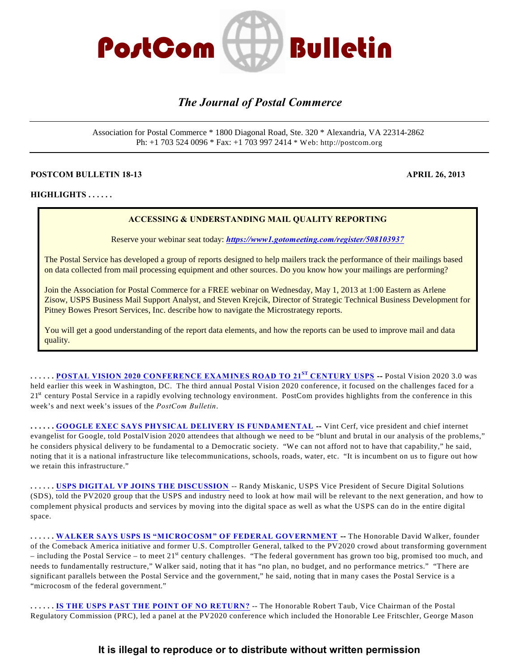

# *The Journal of Postal Commerce*

Association for Postal Commerce \* 1800 Diagonal Road, Ste. 320 \* Alexandria, VA 22314-2862 Ph: +1 703 524 0096 \* Fax: +1 703 997 2414 \* Web: http://postcom.org

#### **POSTCOM BULLETIN 18-13 APRIL 26, 2013**

**HIGHLIGHTS . . . . . .** 

#### **ACCESSING & UNDERSTANDING MAIL QUALITY REPORTING**

Reserve your webinar seat today: *<https://www1.gotomeeting.com/register/508103937>*

The Postal Service has developed a group of reports designed to help mailers track the performance of their mailings based on data collected from mail processing equipment and other sources. Do you know how your mailings are performing?

Join the Association for Postal Commerce for a FREE webinar on Wednesday, May 1, 2013 at 1:00 Eastern as Arlene Zisow, USPS Business Mail Support Analyst, and Steven Krejcik, Director of Strategic Technical Business Development for Pitney Bowes Presort Services, Inc. describe how to navigate the Microstrategy reports.

You will get a good understanding of the report data elements, and how the reports can be used to improve mail and data quality.

**. . . . . . <u>POSTAL VISION 2020 CONFERENCE EXAMINES ROAD TO 21<sup>st</sup> CENTURY USPS</u> -- Postal Vision 2020 3.0 was** held earlier this week in Washington, DC. The third annual Postal Vision 2020 conference, it focused on the challenges faced for a 21<sup>st</sup> century Postal Service in a rapidly evolving technology environment. PostCom provides highlights from the conference in this week's and next week's issues of the *PostCom Bulletin*.

**. . . . . . [GOOGLE EXEC SAYS PHYSICAL DELIVERY IS FUNDAMENTAL](#page-2-1) --** Vint Cerf, vice president and chief internet evangelist for Google, told PostalVision 2020 attendees that although we need to be "blunt and brutal in our analysis of the problems," he considers physical delivery to be fundamental to a Democratic society. "We can not afford not to have that capability," he said, noting that it is a national infrastructure like telecommunications, schools, roads, water, etc. "It is incumbent on us to figure out how we retain this infrastructure."

**. . . . . . [USPS DIGITAL VP JOINS THE DISCUSSION](#page-3-0)** -- Randy Miskanic, USPS Vice President of Secure Digital Solutions (SDS), told the PV2020 group that the USPS and industry need to look at how mail will be relevant to the next generation, and how to complement physical products and services by moving into the digital space as well as what the USPS can do in the entire digital space.

**. . . . . . [WALKER SAYS USPS IS "MICROCOSM" OF FEDERAL GOVERNMENT](#page-4-0) --** The Honorable David Walker, founder of the Comeback America initiative and former U.S. Comptroller General, talked to the PV2020 crowd about transforming government – including the Postal Service – to meet  $21^{st}$  century challenges. "The federal government has grown too big, promised too much, and needs to fundamentally restructure," Walker said, noting that it has "no plan, no budget, and no performance metrics." "There are significant parallels between the Postal Service and the government," he said, noting that in many cases the Postal Service is a "microcosm of the federal government."

**. . . . . . [IS THE USPS PAST THE POINT OF NO RETURN?](#page-4-1)** -- The Honorable Robert Taub, Vice Chairman of the Postal Regulatory Commission (PRC), led a panel at the PV2020 conference which included the Honorable Lee Fritschler, George Mason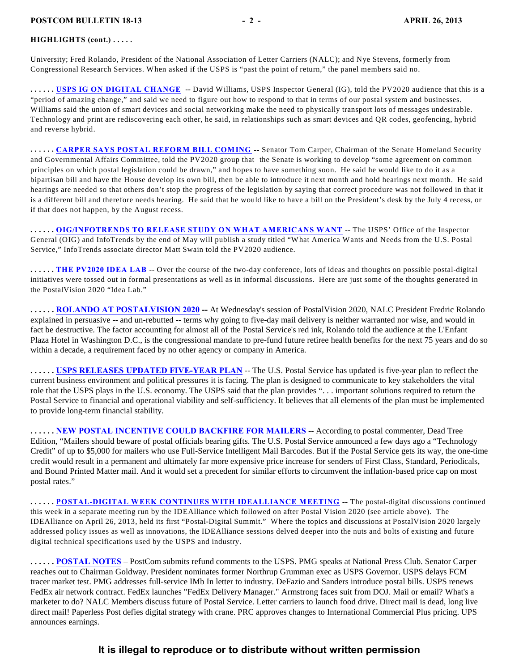#### **HIGHLIGHTS (cont.) . . . . .**

University; Fred Rolando, President of the National Association of Letter Carriers (NALC); and Nye Stevens, formerly from Congressional Research Services. When asked if the USPS is "past the point of return," the panel members said no.

**. . . . . . [USPS IG ON DIGITAL CHANGE](#page-5-0)** -- David Williams, USPS Inspector General (IG), told the PV2020 audience that this is a "period of amazing change," and said we need to figure out how to respond to that in terms of our postal system and businesses. Williams said the union of smart devices and social networking make the need to physically transport lots of messages undesirable. Technology and print are rediscovering each other, he said, in relationships such as smart devices and QR codes, geofencing, hybrid and reverse hybrid.

**. . . . . . [CARPER SAYS POSTAL REFORM BILL COMING](#page-6-0) --** Senator Tom Carper, Chairman of the Senate Homeland Security and Governmental Affairs Committee, told the PV2020 group that the Senate is working to develop "some agreement on common principles on which postal legislation could be drawn," and hopes to have something soon. He said he would like to do it as a bipartisan bill and have the House develop its own bill, then be able to introduce it next month and hold hearings next month. He said hearings are needed so that others don't stop the progress of the legislation by saying that correct procedure was not followed in that it is a different bill and therefore needs hearing. He said that he would like to have a bill on the President's desk by the July 4 recess, or if that does not happen, by the August recess.

**. . . . . . [OIG/INFOTRENDS TO RELEASE STUDY ON WHAT AMERICANS WANT](#page-6-1)** -- The USPS' Office of the Inspector General (OIG) and InfoTrends by the end of May will publish a study titled "What America Wants and Needs from the U.S. Postal Service," InfoTrends associate director Matt Swain told the PV2020 audience.

**...... [THE PV2020 IDEA LAB](#page-7-0)** -- Over the course of the two-day conference, lots of ideas and thoughts on possible postal-digital initiatives were tossed out in formal presentations as well as in informal discussions. Here are just some of the thoughts generated in the PostalVision 2020 "Idea Lab."

**. . . . . . [ROLANDO AT POSTALVISION 2020](#page-2-0) --** At Wednesday's session of PostalVision 2020, NALC President Fredric Rolando explained in persuasive -- and un-rebutted -- terms why going to five-day mail delivery is neither warranted nor wise, and would in fact be destructive. The factor accounting for almost all of the Postal Service's red ink, Rolando told the audience at the L'Enfant Plaza Hotel in Washington D.C., is the congressional mandate to pre-fund future retiree health benefits for the next 75 years and do so within a decade, a requirement faced by no other agency or company in America.

**. . . . . . [USPS RELEASES UPDATED FIVE-YEAR PLAN](#page-2-0)** -- The U.S. Postal Service has updated is five-year plan to reflect the current business environment and political pressures it is facing. The plan is designed to communicate to key stakeholders the vital role that the USPS plays in the U.S. economy. The USPS said that the plan provides ". . . important solutions required to return the Postal Service to financial and operational viability and self-sufficiency. It believes that all elements of the plan must be implemented to provide long-term financial stability.

**. . . . . . [NEW POSTAL INCENTIVE COULD BACKFIRE FOR MAILERS](#page-9-0)** -- According to postal commenter, Dead Tree Edition, "Mailers should beware of postal officials bearing gifts. The U.S. Postal Service announced a few days ago a "Technology Credit" of up to \$5,000 for mailers who use Full-Service Intelligent Mail Barcodes. But if the Postal Service gets its way, the one-time credit would result in a permanent and ultimately far more expensive price increase for senders of First Class, Standard, Periodicals, and Bound Printed Matter mail. And it would set a precedent for similar efforts to circumvent the inflation-based price cap on most postal rates."

**. . . . . . [POSTAL-DIGITAL WEEK CONTINUES WITH IDEALLIANCE MEETING](#page-2-0) --** The postal-digital discussions continued this week in a separate meeting run by the IDEAlliance which followed on after Postal Vision 2020 (see article above). The IDEAlliance on April 26, 2013, held its first "Postal-Digital Summit." Where the topics and discussions at PostalVision 2020 largely addressed policy issues as well as innovations, the IDEAlliance sessions delved deeper into the nuts and bolts of existing and future digital technical specifications used by the USPS and industry.

**. . . . . . [POSTAL NOTES](#page-10-0)** – PostCom submits refund comments to the USPS. PMG speaks at National Press Club. Senator Carper reaches out to Chairman Goldway. President nominates former Northrup Grumman exec as USPS Governor. USPS delays FCM tracer market test. PMG addresses full-service IMb In letter to industry. DeFazio and Sanders introduce postal bills. USPS renews FedEx air network contract. FedEx launches "FedEx Delivery Manager." Armstrong faces suit from DOJ. Mail or email? What's a marketer to do? NALC Members discuss future of Postal Service. Letter carriers to launch food drive. Direct mail is dead, long live direct mail! Paperless Post defies digital strategy with crane. PRC approves changes to International Commercial Plus pricing. UPS announces earnings.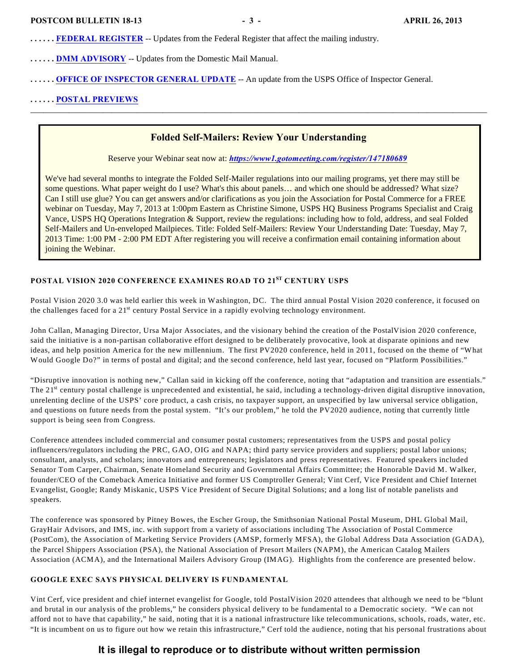- **. . . . . . [FEDERAL REGISTER](#page-14-0)** -- Updates from the Federal Register that affect the mailing industry.
- **. . . . . . [DMM ADVISORY](#page-2-2)** -- Updates from the Domestic Mail Manual.
- **. . . . . . [OFFICE OF INSPECTOR GENERAL UPDATE](#page-2-2)** -- An update from the USPS Office of Inspector General.

#### **. . . . . . [POSTAL PREVIEWS](#page-20-0)**

#### **Folded Self-Mailers: Review Your Understanding**

\_\_\_\_\_\_\_\_\_\_\_\_\_\_\_\_\_\_\_\_\_\_\_\_\_\_\_\_\_\_\_\_\_\_\_\_\_\_\_\_\_\_\_\_\_\_\_\_\_\_\_\_\_\_\_\_\_\_\_\_\_\_\_\_\_\_\_\_\_\_\_\_\_\_\_\_\_\_\_\_\_\_\_\_\_\_\_\_\_\_\_\_\_\_\_\_\_\_\_\_\_\_\_\_\_\_\_

Reserve your Webinar seat now at: *<https://www1.gotomeeting.com/register/147180689>*

We've had several months to integrate the Folded Self-Mailer regulations into our mailing programs, yet there may still be some questions. What paper weight do I use? What's this about panels... and which one should be addressed? What size? Can I still use glue? You can get answers and/or clarifications as you join the Association for Postal Commerce for a FREE webinar on Tuesday, May 7, 2013 at 1:00pm Eastern as Christine Simone, USPS HQ Business Programs Specialist and Craig Vance, USPS HQ Operations Integration & Support, review the regulations: including how to fold, address, and seal Folded Self-Mailers and Un-enveloped Mailpieces. Title: Folded Self-Mailers: Review Your Understanding Date: Tuesday, May 7, 2013 Time: 1:00 PM - 2:00 PM EDT After registering you will receive a confirmation email containing information about joining the Webinar.

# <span id="page-2-0"></span>**POSTAL VISION 2020 CONFERENCE EXAMINES ROAD TO 21<sup>ST</sup> CENTURY USPS**

Postal Vision 2020 3.0 was held earlier this week in Washington, DC. The third annual Postal Vision 2020 conference, it focused on the challenges faced for a  $21<sup>st</sup>$  century Postal Service in a rapidly evolving technology environment.

John Callan, Managing Director, Ursa Major Associates, and the visionary behind the creation of the PostalVision 2020 conference, said the initiative is a non-partisan collaborative effort designed to be deliberately provocative, look at disparate opinions and new ideas, and help position America for the new millennium. The first PV2020 conference, held in 2011, focused on the theme of "What Would Google Do?" in terms of postal and digital; and the second conference, held last year, focused on "Platform Possibilities."

"Disruptive innovation is nothing new," Callan said in kicking off the conference, noting that "adaptation and transition are essentials." The  $21<sup>st</sup>$  century postal challenge is unprecedented and existential, he said, including a technology-driven digital disruptive innovation, unrelenting decline of the USPS' core product, a cash crisis, no taxpayer support, an unspecified by law universal service obligation, and questions on future needs from the postal system. "It's our problem," he told the PV2020 audience, noting that currently little support is being seen from Congress.

Conference attendees included commercial and consumer postal customers; representatives from the USPS and postal policy influencers/regulators including the PRC, GAO, OIG and NAPA; third party service providers and suppliers; postal labor unions; consultant, analysts, and scholars; innovators and entrepreneurs; legislators and press representatives. Featured speakers included Senator Tom Carper, Chairman, Senate Homeland Security and Governmental Affairs Committee; the Honorable David M. Walker, founder/CEO of the Comeback America Initiative and former US Comptroller General; Vint Cerf, Vice President and Chief Internet Evangelist, Google; Randy Miskanic, USPS Vice President of Secure Digital Solutions; and a long list of notable panelists and speakers.

The conference was sponsored by Pitney Bowes, the Escher Group, the Smithsonian National Postal Museum, DHL Global Mail, GrayHair Advisors, and IMS, inc. with support from a variety of associations including The Association of Postal Commerce (PostCom), the Association of Marketing Service Providers (AMSP, formerly MFSA), the Global Address Data Association (GADA), the Parcel Shippers Association (PSA), the National Association of Presort Mailers (NAPM), the American Catalog Mailers Association (ACMA), and the International Mailers Advisory Group (IMAG). Highlights from the conference are presented below.

#### <span id="page-2-1"></span>**GOOGLE EXEC SAYS PHYSICAL DELIVERY IS FUNDAMENTAL**

<span id="page-2-2"></span>Vint Cerf, vice president and chief internet evangelist for Google, told PostalVision 2020 attendees that although we need to be "blunt and brutal in our analysis of the problems," he considers physical delivery to be fundamental to a Democratic society. "We can not afford not to have that capability," he said, noting that it is a national infrastructure like telecommunications, schools, roads, water, etc. "It is incumbent on us to figure out how we retain this infrastructure," Cerf told the audience, noting that his personal frustrations about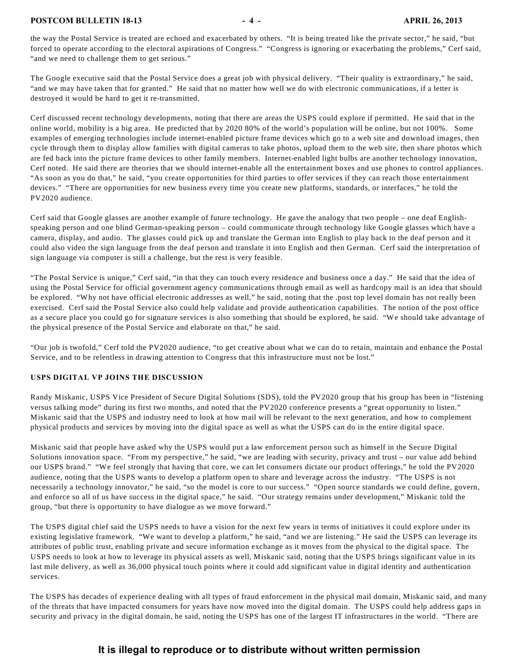#### **POSTCOM BULLETIN 18-13** - 4 - APRIL 26, 2013

the way the Postal Service is treated are echoed and exacerbated by others. "It is being treated like the private sector," he said, "but forced to operate according to the electoral aspirations of Congress." "Congress is ignoring or exacerbating the problems," Cerf said, "and we need to challenge them to get serious."

The Google executive said that the Postal Service does a great job with physical delivery. "Their quality is extraordinary," he said, "and we may have taken that for granted." He said that no matter how well we do with electronic communications, if a letter is destroyed it would be hard to get it re-transmitted.

Cerf discussed recent technology developments, noting that there are areas the USPS could explore if permitted. He said that in the online world, mobility is a big area. He predicted that by 2020 80% of the world's population will be online, but not 100%. Some examples of emerging technologies include internet-enabled picture frame devices which go to a web site and download images, then cycle through them to display allow families with digital cameras to take photos, upload them to the web site, then share photos which are fed back into the picture frame devices to other family members. Internet-enabled light bulbs are another technology innovation, Cerf noted. He said there are theories that we should internet-enable all the entertainment boxes and use phones to control appliances. "As soon as you do that," he said, "you create opportunities for third parties to offer services if they can reach those entertainment devices." "There are opportunities for new business every time you create new platforms, standards, or interfaces," he told the PV2020 audience.

Cerf said that Google glasses are another example of future technology. He gave the analogy that two people – one deaf Englishspeaking person and one blind German-speaking person – could communicate through technology like Google glasses which have a camera, display, and audio. The glasses could pick up and translate the German into English to play back to the deaf person and it could also video the sign language from the deaf person and translate it into English and then German. Cerf said the interpretation of sign language via computer is still a challenge, but the rest is very feasible.

"The Postal Service is unique," Cerf said, "in that they can touch every residence and business once a day." He said that the idea of using the Postal Service for official government agency communications through email as well as hardcopy mail is an idea that should be explored. "Why not have official electronic addresses as well," he said, noting that the .post top level domain has not really been exercised. Cerf said the Postal Service also could help validate and provide authentication capabilities. The notion of the post office as a secure place you could go for signature services is also something that should be explored, he said. "We should take advantage of the physical presence of the Postal Service and elaborate on that," he said.

"Our job is twofold," Cerf told the PV2020 audience, "to get creative about what we can do to retain, maintain and enhance the Postal Service, and to be relentless in drawing attention to Congress that this infrastructure must not be lost."

#### <span id="page-3-0"></span>**USPS DIGITAL VP JOINS THE DISCUSSION**

Randy Miskanic, USPS Vice President of Secure Digital Solutions (SDS), told the PV2020 group that his group has been in "listening versus talking mode" during its first two months, and noted that the PV2020 conference presents a "great opportunity to listen." Miskanic said that the USPS and industry need to look at how mail will be relevant to the next generation, and how to complement physical products and services by moving into the digital space as well as what the USPS can do in the entire digital space.

Miskanic said that people have asked why the USPS would put a law enforcement person such as himself in the Secure Digital Solutions innovation space. "From my perspective," he said, "we are leading with security, privacy and trust – our value add behind our USPS brand." "We feel strongly that having that core, we can let consumers dictate our product offerings," he told the PV2020 audience, noting that the USPS wants to develop a platform open to share and leverage across the industry. "The USPS is not necessarily a technology innovator," he said, "so the model is core to our success." "Open source standards we could define, govern, and enforce so all of us have success in the digital space," he said. "Our strategy remains under development," Miskanic told the group, "but there is opportunity to have dialogue as we move forward."

The USPS digital chief said the USPS needs to have a vision for the next few years in terms of initiatives it could explore under its existing legislative framework. "We want to develop a platform," he said, "and we are listening." He said the USPS can leverage its attributes of public trust, enabling private and secure information exchange as it moves from the physical to the digital space. The USPS needs to look at how to leverage its physical assets as well, Miskanic said, noting that the USPS brings significant value in its last mile delivery, as well as 36,000 physical touch points where it could add significant value in digital identity and authentication services.

The USPS has decades of experience dealing with all types of fraud enforcement in the physical mail domain, Miskanic said, and many of the threats that have impacted consumers for years have now moved into the digital domain. The USPS could help address gaps in security and privacy in the digital domain, he said, noting the USPS has one of the largest IT infrastructures in the world. "There are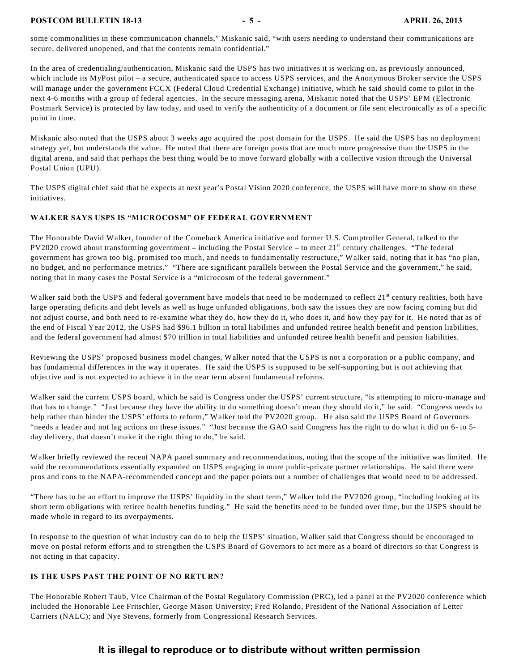#### **POSTCOM BULLETIN 18-13** - 5 - APRIL 26, 2013

some commonalities in these communication channels," Miskanic said, "with users needing to understand their communications are secure, delivered unopened, and that the contents remain confidential."

In the area of credentialing/authentication, Miskanic said the USPS has two initiatives it is working on, as previously announced, which include its MyPost pilot – a secure, authenticated space to access USPS services, and the Anonymous Broker service the USPS will manage under the government FCCX (Federal Cloud Credential Exchange) initiative, which he said should come to pilot in the next 4-6 months with a group of federal agencies. In the secure messaging arena, Miskanic noted that the USPS' EPM (Electronic Postmark Service) is protected by law today, and used to verify the authenticity of a document or file sent electronically as of a specific point in time.

Miskanic also noted that the USPS about 3 weeks ago acquired the .post domain for the USPS. He said the USPS has no deployment strategy yet, but understands the value. He noted that there are foreign posts that are much more progressive than the USPS in the digital arena, and said that perhaps the best thing would be to move forward globally with a collective vision through the Universal Postal Union (UPU).

The USPS digital chief said that he expects at next year's Postal Vision 2020 conference, the USPS will have more to show on these initiatives.

#### <span id="page-4-0"></span>**WALKER SAYS USPS IS "MICROCOSM" OF FEDERAL GOVERNMENT**

The Honorable David Walker, founder of the Comeback America initiative and former U.S. Comptroller General, talked to the PV2020 crowd about transforming government – including the Postal Service – to meet  $21^{st}$  century challenges. "The federal government has grown too big, promised too much, and needs to fundamentally restructure," Walker said, noting that it has "no plan, no budget, and no performance metrics." "There are significant parallels between the Postal Service and the government," he said, noting that in many cases the Postal Service is a "microcosm of the federal government."

Walker said both the USPS and federal government have models that need to be modernized to reflect  $21<sup>st</sup>$  century realities, both have large operating deficits and debt levels as well as huge unfunded obligations, both saw the issues they are now facing coming but did not adjust course, and both need to re-examine what they do, how they do it, who does it, and how they pay for it. He noted that as of the end of Fiscal Year 2012, the USPS had \$96.1 billion in total liabilities and unfunded retiree health benefit and pension liabilities, and the federal government had almost \$70 trillion in total liabilities and unfunded retiree health benefit and pension liabilities.

Reviewing the USPS' proposed business model changes, Walker noted that the USPS is not a corporation or a public company, and has fundamental differences in the way it operates. He said the USPS is supposed to be self-supporting but is not achieving that objective and is not expected to achieve it in the near term absent fundamental reforms.

Walker said the current USPS board, which he said is Congress under the USPS' current structure, "is attempting to micro-manage and that has to change." "Just because they have the ability to do something doesn't mean they should do it," he said. "Congress needs to help rather than hinder the USPS' efforts to reform," Walker told the PV2020 group. He also said the USPS Board of Governors "needs a leader and not lag actions on these issues." "Just because the GAO said Congress has the right to do what it did on 6- to 5 day delivery, that doesn't make it the right thing to do," he said.

Walker briefly reviewed the recent NAPA panel summary and recommendations, noting that the scope of the initiative was limited. He said the recommendations essentially expanded on USPS engaging in more public-private partner relationships. He said there were pros and cons to the NAPA-recommended concept and the paper points out a number of challenges that would need to be addressed.

"There has to be an effort to improve the USPS' liquidity in the short term," Walker told the PV2020 group, "including looking at its short term obligations with retiree health benefits funding." He said the benefits need to be funded over time, but the USPS should be made whole in regard to its overpayments.

In response to the question of what industry can do to help the USPS' situation, Walker said that Congress should be encouraged to move on postal reform efforts and to strengthen the USPS Board of Governors to act more as a board of directors so that Congress is not acting in that capacity.

#### <span id="page-4-1"></span>**IS THE USPS PAST THE POINT OF NO RETURN?**

The Honorable Robert Taub, Vice Chairman of the Postal Regulatory Commission (PRC), led a panel at the PV2020 conference which included the Honorable Lee Fritschler, George Mason University; Fred Rolando, President of the National Association of Letter Carriers (NALC); and Nye Stevens, formerly from Congressional Research Services.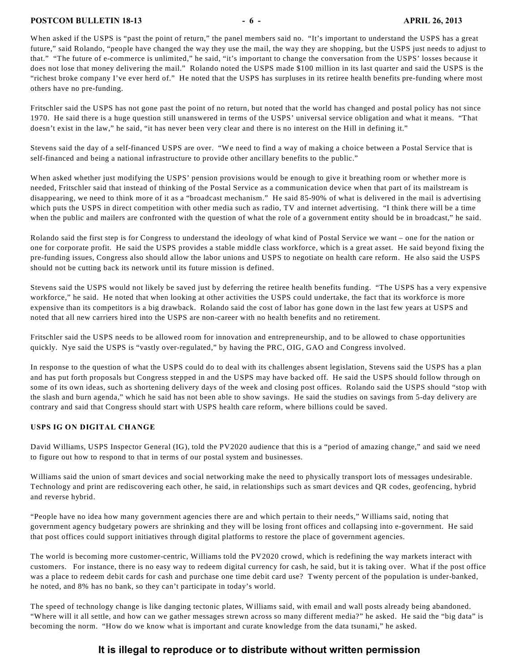#### **POSTCOM BULLETIN 18-13** - 6 - **6 - APRIL 26, 2013**

When asked if the USPS is "past the point of return," the panel members said no. "It's important to understand the USPS has a great future," said Rolando, "people have changed the way they use the mail, the way they are shopping, but the USPS just needs to adjust to that." "The future of e-commerce is unlimited," he said, "it's important to change the conversation from the USPS' losses because it does not lose that money delivering the mail." Rolando noted the USPS made \$100 million in its last quarter and said the USPS is the "richest broke company I've ever herd of." He noted that the USPS has surpluses in its retiree health benefits pre-funding where most others have no pre-funding.

Fritschler said the USPS has not gone past the point of no return, but noted that the world has changed and postal policy has not since 1970. He said there is a huge question still unanswered in terms of the USPS' universal service obligation and what it means. "That doesn't exist in the law," he said, "it has never been very clear and there is no interest on the Hill in defining it."

Stevens said the day of a self-financed USPS are over. "We need to find a way of making a choice between a Postal Service that is self-financed and being a national infrastructure to provide other ancillary benefits to the public."

When asked whether just modifying the USPS' pension provisions would be enough to give it breathing room or whether more is needed, Fritschler said that instead of thinking of the Postal Service as a communication device when that part of its mailstream is disappearing, we need to think more of it as a "broadcast mechanism." He said 85-90% of what is delivered in the mail is advertising which puts the USPS in direct competition with other media such as radio, TV and internet advertising. "I think there will be a time when the public and mailers are confronted with the question of what the role of a government entity should be in broadcast," he said.

Rolando said the first step is for Congress to understand the ideology of what kind of Postal Service we want – one for the nation or one for corporate profit. He said the USPS provides a stable middle class workforce, which is a great asset. He said beyond fixing the pre-funding issues, Congress also should allow the labor unions and USPS to negotiate on health care reform. He also said the USPS should not be cutting back its network until its future mission is defined.

Stevens said the USPS would not likely be saved just by deferring the retiree health benefits funding. "The USPS has a very expensive workforce," he said. He noted that when looking at other activities the USPS could undertake, the fact that its workforce is more expensive than its competitors is a big drawback. Rolando said the cost of labor has gone down in the last few years at USPS and noted that all new carriers hired into the USPS are non-career with no health benefits and no retirement.

Fritschler said the USPS needs to be allowed room for innovation and entrepreneurship, and to be allowed to chase opportunities quickly. Nye said the USPS is "vastly over-regulated," by having the PRC, OIG, GAO and Congress involved.

In response to the question of what the USPS could do to deal with its challenges absent legislation, Stevens said the USPS has a plan and has put forth proposals but Congress stepped in and the USPS may have backed off. He said the USPS should follow through on some of its own ideas, such as shortening delivery days of the week and closing post offices. Rolando said the USPS should "stop with the slash and burn agenda," which he said has not been able to show savings. He said the studies on savings from 5-day delivery are contrary and said that Congress should start with USPS health care reform, where billions could be saved.

#### <span id="page-5-0"></span>**USPS IG ON DIGITAL CHANGE**

David Williams, USPS Inspector General (IG), told the PV2020 audience that this is a "period of amazing change," and said we need to figure out how to respond to that in terms of our postal system and businesses.

Williams said the union of smart devices and social networking make the need to physically transport lots of messages undesirable. Technology and print are rediscovering each other, he said, in relationships such as smart devices and QR codes, geofencing, hybrid and reverse hybrid.

"People have no idea how many government agencies there are and which pertain to their needs," Williams said, noting that government agency budgetary powers are shrinking and they will be losing front offices and collapsing into e-government. He said that post offices could support initiatives through digital platforms to restore the place of government agencies.

The world is becoming more customer-centric, Williams told the PV2020 crowd, which is redefining the way markets interact with customers. For instance, there is no easy way to redeem digital currency for cash, he said, but it is taking over. What if the post office was a place to redeem debit cards for cash and purchase one time debit card use? Twenty percent of the population is under-banked, he noted, and 8% has no bank, so they can't participate in today's world.

The speed of technology change is like danging tectonic plates, Williams said, with email and wall posts already being abandoned. "Where will it all settle, and how can we gather messages strewn across so many different media?" he asked. He said the "big data" is becoming the norm. "How do we know what is important and curate knowledge from the data tsunami," he asked.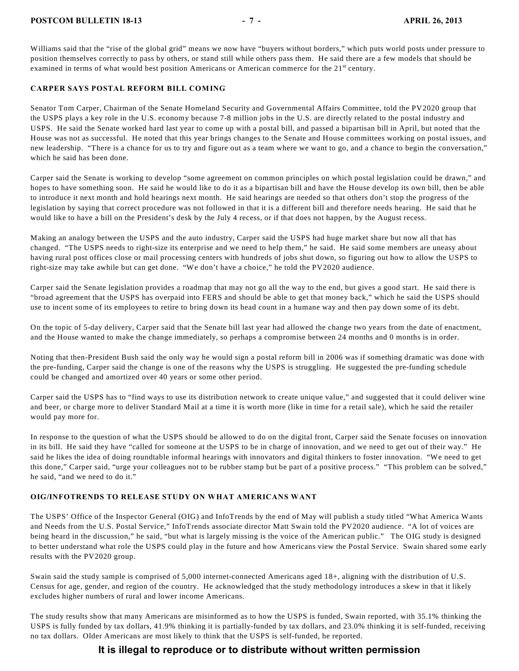#### **POSTCOM BULLETIN 18-13** - 7 - **POSTCOM BULLETIN 18-13**

Williams said that the "rise of the global grid" means we now have "buyers without borders," which puts world posts under pressure to position themselves correctly to pass by others, or stand still while others pass them. He said there are a few models that should be examined in terms of what would best position Americans or American commerce for the 21<sup>st</sup> century.

#### <span id="page-6-0"></span>**CARPER SAYS POSTAL REFORM BILL COMING**

Senator Tom Carper, Chairman of the Senate Homeland Security and Governmental Affairs Committee, told the PV2020 group that the USPS plays a key role in the U.S. economy because 7-8 million jobs in the U.S. are directly related to the postal industry and USPS. He said the Senate worked hard last year to come up with a postal bill, and passed a bipartisan bill in April, but noted that the House was not as successful. He noted that this year brings changes to the Senate and House committees working on postal issues, and new leadership. "There is a chance for us to try and figure out as a team where we want to go, and a chance to begin the conversation," which he said has been done.

Carper said the Senate is working to develop "some agreement on common principles on which postal legislation could be drawn," and hopes to have something soon. He said he would like to do it as a bipartisan bill and have the House develop its own bill, then be able to introduce it next month and hold hearings next month. He said hearings are needed so that others don't stop the progress of the legislation by saying that correct procedure was not followed in that it is a different bill and therefore needs hearing. He said that he would like to have a bill on the President's desk by the July 4 recess, or if that does not happen, by the August recess.

Making an analogy between the USPS and the auto industry, Carper said the USPS had huge market share but now all that has changed. "The USPS needs to right-size its enterprise and we need to help them," he said. He said some members are uneasy about having rural post offices close or mail processing centers with hundreds of jobs shut down, so figuring out how to allow the USPS to right-size may take awhile but can get done. "We don't have a choice," he told the PV2020 audience.

Carper said the Senate legislation provides a roadmap that may not go all the way to the end, but gives a good start. He said there is "broad agreement that the USPS has overpaid into FERS and should be able to get that money back," which he said the USPS should use to incent some of its employees to retire to bring down its head count in a humane way and then pay down some of its debt.

On the topic of 5-day delivery, Carper said that the Senate bill last year had allowed the change two years from the date of enactment, and the House wanted to make the change immediately, so perhaps a compromise between 24 months and 0 months is in order.

Noting that then-President Bush said the only way he would sign a postal reform bill in 2006 was if something dramatic was done with the pre-funding, Carper said the change is one of the reasons why the USPS is struggling. He suggested the pre-funding schedule could be changed and amortized over 40 years or some other period.

Carper said the USPS has to "find ways to use its distribution network to create unique value," and suggested that it could deliver wine and beer, or charge more to deliver Standard Mail at a time it is worth more (like in time for a retail sale), which he said the retailer would pay more for.

In response to the question of what the USPS should be allowed to do on the digital front, Carper said the Senate focuses on innovation in its bill. He said they have "called for someone at the USPS to be in charge of innovation, and we need to get out of their way." He said he likes the idea of doing roundtable informal hearings with innovators and digital thinkers to foster innovation. "We need to get this done," Carper said, "urge your colleagues not to be rubber stamp but be part of a positive process." "This problem can be solved," he said, "and we need to do it."

#### <span id="page-6-1"></span>**OIG/INFOTRENDS TO RELEASE STUDY ON WHAT AMERICANS WANT**

The USPS' Office of the Inspector General (OIG) and InfoTrends by the end of May will publish a study titled "What America Wants and Needs from the U.S. Postal Service," InfoTrends associate director Matt Swain told the PV2020 audience. "A lot of voices are being heard in the discussion," he said, "but what is largely missing is the voice of the American public." The OIG study is designed to better understand what role the USPS could play in the future and how Americans view the Postal Service. Swain shared some early results with the PV2020 group.

Swain said the study sample is comprised of 5,000 internet-connected Americans aged 18+, aligning with the distribution of U.S. Census for age, gender, and region of the country. He acknowledged that the study methodology introduces a skew in that it likely excludes higher numbers of rural and lower income Americans.

The study results show that many Americans are misinformed as to how the USPS is funded, Swain reported, with 35.1% thinking the USPS is fully funded by tax dollars, 41.9% thinking it is partially-funded by tax dollars, and 23.0% thinking it is self-funded, receiving no tax dollars. Older Americans are most likely to think that the USPS is self-funded, he reported.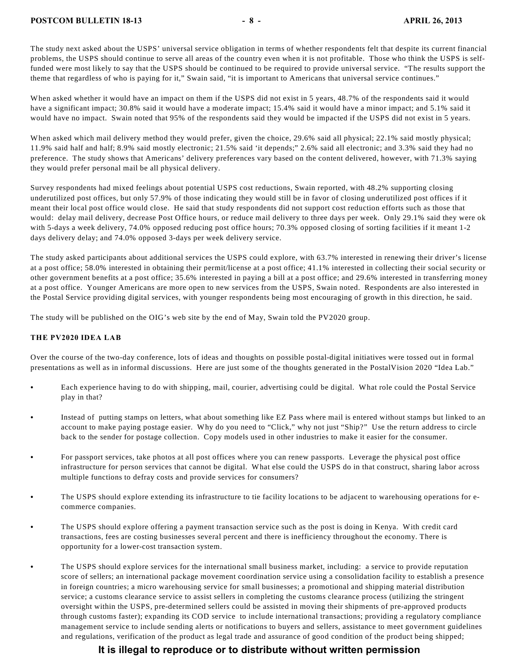The study next asked about the USPS' universal service obligation in terms of whether respondents felt that despite its current financial problems, the USPS should continue to serve all areas of the country even when it is not profitable. Those who think the USPS is selffunded were most likely to say that the USPS should be continued to be required to provide universal service. "The results support the theme that regardless of who is paying for it," Swain said, "it is important to Americans that universal service continues."

When asked whether it would have an impact on them if the USPS did not exist in 5 years, 48.7% of the respondents said it would have a significant impact; 30.8% said it would have a moderate impact; 15.4% said it would have a minor impact; and 5.1% said it would have no impact. Swain noted that 95% of the respondents said they would be impacted if the USPS did not exist in 5 years.

When asked which mail delivery method they would prefer, given the choice, 29.6% said all physical; 22.1% said mostly physical; 11.9% said half and half; 8.9% said mostly electronic; 21.5% said 'it depends;" 2.6% said all electronic; and 3.3% said they had no preference. The study shows that Americans' delivery preferences vary based on the content delivered, however, with 71.3% saying they would prefer personal mail be all physical delivery.

Survey respondents had mixed feelings about potential USPS cost reductions, Swain reported, with 48.2% supporting closing underutilized post offices, but only 57.9% of those indicating they would still be in favor of closing underutilized post offices if it meant their local post office would close. He said that study respondents did not support cost reduction efforts such as those that would: delay mail delivery, decrease Post Office hours, or reduce mail delivery to three days per week. Only 29.1% said they were ok with 5-days a week delivery, 74.0% opposed reducing post office hours; 70.3% opposed closing of sorting facilities if it meant 1-2 days delivery delay; and 74.0% opposed 3-days per week delivery service.

The study asked participants about additional services the USPS could explore, with 63.7% interested in renewing their driver's license at a post office; 58.0% interested in obtaining their permit/license at a post office; 41.1% interested in collecting their social security or other government benefits at a post office; 35.6% interested in paying a bill at a post office; and 29.6% interested in transferring money at a post office. Younger Americans are more open to new services from the USPS, Swain noted. Respondents are also interested in the Postal Service providing digital services, with younger respondents being most encouraging of growth in this direction, he said.

The study will be published on the OIG's web site by the end of May, Swain told the PV2020 group.

#### <span id="page-7-0"></span>**THE PV2020 IDEA LAB**

Over the course of the two-day conference, lots of ideas and thoughts on possible postal-digital initiatives were tossed out in formal presentations as well as in informal discussions. Here are just some of the thoughts generated in the PostalVision 2020 "Idea Lab."

- Each experience having to do with shipping, mail, courier, advertising could be digital. What role could the Postal Service play in that?
- C Instead of putting stamps on letters, what about something like EZ Pass where mail is entered without stamps but linked to an account to make paying postage easier. Why do you need to "Click," why not just "Ship?" Use the return address to circle back to the sender for postage collection. Copy models used in other industries to make it easier for the consumer.
- For passport services, take photos at all post offices where you can renew passports. Leverage the physical post office infrastructure for person services that cannot be digital. What else could the USPS do in that construct, sharing labor across multiple functions to defray costs and provide services for consumers?
- The USPS should explore extending its infrastructure to tie facility locations to be adjacent to warehousing operations for ecommerce companies.
- The USPS should explore offering a payment transaction service such as the post is doing in Kenya. With credit card transactions, fees are costing businesses several percent and there is inefficiency throughout the economy. There is opportunity for a lower-cost transaction system.
- The USPS should explore services for the international small business market, including: a service to provide reputation score of sellers; an international package movement coordination service using a consolidation facility to establish a presence in foreign countries; a micro warehousing service for small businesses; a promotional and shipping material distribution service; a customs clearance service to assist sellers in completing the customs clearance process (utilizing the stringent oversight within the USPS, pre-determined sellers could be assisted in moving their shipments of pre-approved products through customs faster); expanding its COD service to include international transactions; providing a regulatory compliance management service to include sending alerts or notifications to buyers and sellers, assistance to meet government guidelines and regulations, verification of the product as legal trade and assurance of good condition of the product being shipped;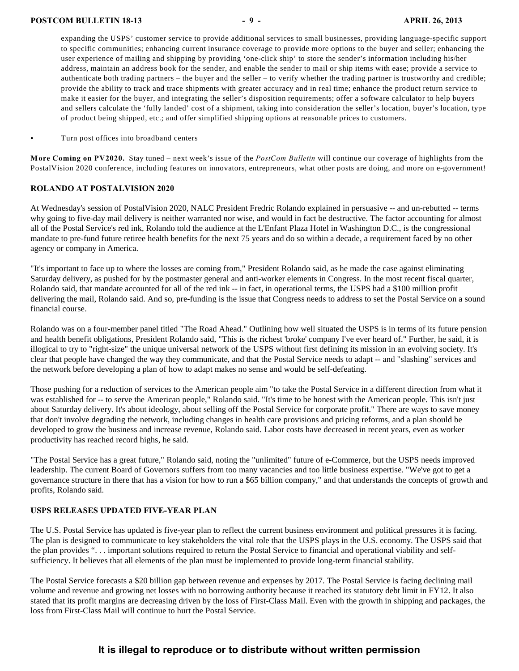expanding the USPS' customer service to provide additional services to small businesses, providing language-specific support to specific communities; enhancing current insurance coverage to provide more options to the buyer and seller; enhancing the user experience of mailing and shipping by providing 'one-click ship' to store the sender's information including his/her address, maintain an address book for the sender, and enable the sender to mail or ship items with ease; provide a service to authenticate both trading partners – the buyer and the seller – to verify whether the trading partner is trustworthy and credible; provide the ability to track and trace shipments with greater accuracy and in real time; enhance the product return service to make it easier for the buyer, and integrating the seller's disposition requirements; offer a software calculator to help buyers and sellers calculate the 'fully landed' cost of a shipment, taking into consideration the seller's location, buyer's location, type of product being shipped, etc.; and offer simplified shipping options at reasonable prices to customers.

Turn post offices into broadband centers

**More Coming on PV2020.** Stay tuned – next week's issue of the *PostCom Bulletin* will continue our coverage of highlights from the PostalVision 2020 conference, including features on innovators, entrepreneurs, what other posts are doing, and more on e-government!

#### **ROLANDO AT POSTALVISION 2020**

At Wednesday's session of PostalVision 2020, NALC President Fredric Rolando explained in persuasive -- and un-rebutted -- terms why going to five-day mail delivery is neither warranted nor wise, and would in fact be destructive. The factor accounting for almost all of the Postal Service's red ink, Rolando told the audience at the L'Enfant Plaza Hotel in Washington D.C., is the congressional mandate to pre-fund future retiree health benefits for the next 75 years and do so within a decade, a requirement faced by no other agency or company in America.

"It's important to face up to where the losses are coming from," President Rolando said, as he made the case against eliminating Saturday delivery, as pushed for by the postmaster general and anti-worker elements in Congress. In the most recent fiscal quarter, Rolando said, that mandate accounted for all of the red ink -- in fact, in operational terms, the USPS had a \$100 million profit delivering the mail, Rolando said. And so, pre-funding is the issue that Congress needs to address to set the Postal Service on a sound financial course.

Rolando was on a four-member panel titled "The Road Ahead." Outlining how well situated the USPS is in terms of its future pension and health benefit obligations, President Rolando said, "This is the richest 'broke' company I've ever heard of." Further, he said, it is illogical to try to "right-size" the unique universal network of the USPS without first defining its mission in an evolving society. It's clear that people have changed the way they communicate, and that the Postal Service needs to adapt -- and "slashing" services and the network before developing a plan of how to adapt makes no sense and would be self-defeating.

Those pushing for a reduction of services to the American people aim "to take the Postal Service in a different direction from what it was established for -- to serve the American people," Rolando said. "It's time to be honest with the American people. This isn't just about Saturday delivery. It's about ideology, about selling off the Postal Service for corporate profit." There are ways to save money that don't involve degrading the network, including changes in health care provisions and pricing reforms, and a plan should be developed to grow the business and increase revenue, Rolando said. Labor costs have decreased in recent years, even as worker productivity has reached record highs, he said.

"The Postal Service has a great future," Rolando said, noting the "unlimited" future of e-Commerce, but the USPS needs improved leadership. The current Board of Governors suffers from too many vacancies and too little business expertise. "We've got to get a governance structure in there that has a vision for how to run a \$65 billion company," and that understands the concepts of growth and profits, Rolando said.

#### **USPS RELEASES UPDATED FIVE-YEAR PLAN**

The U.S. Postal Service has updated is five-year plan to reflect the current business environment and political pressures it is facing. The plan is designed to communicate to key stakeholders the vital role that the USPS plays in the U.S. economy. The USPS said that the plan provides ". . . important solutions required to return the Postal Service to financial and operational viability and selfsufficiency. It believes that all elements of the plan must be implemented to provide long-term financial stability.

The Postal Service forecasts a \$20 billion gap between revenue and expenses by 2017. The Postal Service is facing declining mail volume and revenue and growing net losses with no borrowing authority because it reached its statutory debt limit in FY12. It also stated that its profit margins are decreasing driven by the loss of First-Class Mail. Even with the growth in shipping and packages, the loss from First-Class Mail will continue to hurt the Postal Service.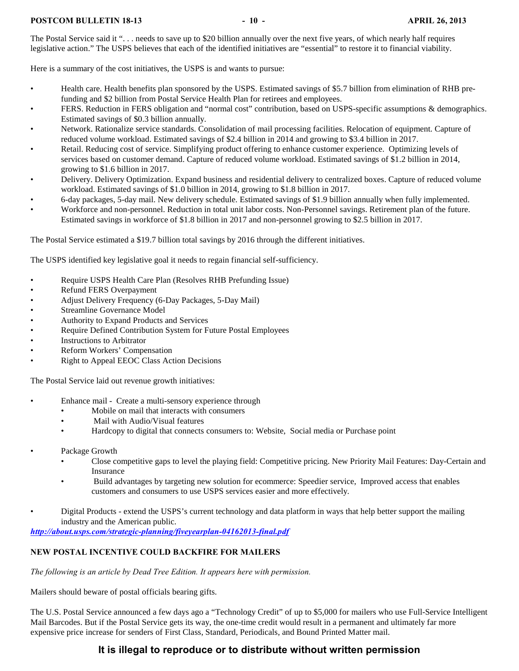#### **POSTCOM BULLETIN 18-13** - 10 - **10 - APRIL 26, 2013**

The Postal Service said it "... needs to save up to \$20 billion annually over the next five years, of which nearly half requires legislative action." The USPS believes that each of the identified initiatives are "essential" to restore it to financial viability.

Here is a summary of the cost initiatives, the USPS is and wants to pursue:

- Health care. Health benefits plan sponsored by the USPS. Estimated savings of \$5.7 billion from elimination of RHB prefunding and \$2 billion from Postal Service Health Plan for retirees and employees.
- FERS. Reduction in FERS obligation and "normal cost" contribution, based on USPS-specific assumptions & demographics. Estimated savings of \$0.3 billion annually.
- Network. Rationalize service standards. Consolidation of mail processing facilities. Relocation of equipment. Capture of reduced volume workload. Estimated savings of \$2.4 billion in 2014 and growing to \$3.4 billion in 2017.
- Retail. Reducing cost of service. Simplifying product offering to enhance customer experience. Optimizing levels of services based on customer demand. Capture of reduced volume workload. Estimated savings of \$1.2 billion in 2014, growing to \$1.6 billion in 2017.
- Delivery. Delivery Optimization. Expand business and residential delivery to centralized boxes. Capture of reduced volume workload. Estimated savings of \$1.0 billion in 2014, growing to \$1.8 billion in 2017.
- 6-day packages, 5-day mail. New delivery schedule. Estimated savings of \$1.9 billion annually when fully implemented.
- Workforce and non-personnel. Reduction in total unit labor costs. Non-Personnel savings. Retirement plan of the future. Estimated savings in workforce of \$1.8 billion in 2017 and non-personnel growing to \$2.5 billion in 2017.

The Postal Service estimated a \$19.7 billion total savings by 2016 through the different initiatives.

The USPS identified key legislative goal it needs to regain financial self-sufficiency.

- Require USPS Health Care Plan (Resolves RHB Prefunding Issue)
- Refund FERS Overpayment
- Adjust Delivery Frequency (6-Day Packages, 5-Day Mail)
- Streamline Governance Model
- Authority to Expand Products and Services
- Require Defined Contribution System for Future Postal Employees
- Instructions to Arbitrator
- Reform Workers' Compensation
- Right to Appeal EEOC Class Action Decisions

The Postal Service laid out revenue growth initiatives:

- Enhance mail Create a multi-sensory experience through
	- Mobile on mail that interacts with consumers
	- Mail with Audio/Visual features
	- Hardcopy to digital that connects consumers to: Website, Social media or Purchase point
- Package Growth
	- Close competitive gaps to level the playing field: Competitive pricing. New Priority Mail Features: Day-Certain and Insurance
	- Build advantages by targeting new solution for ecommerce: Speedier service, Improved access that enables customers and consumers to use USPS services easier and more effectively.
	- Digital Products extend the USPS's current technology and data platform in ways that help better support the mailing industry and the American public.

*<http://about.usps.com/strategic-planning/fiveyearplan-04162013-final.pdf>*

#### <span id="page-9-0"></span>**NEW POSTAL INCENTIVE COULD BACKFIRE FOR MAILERS**

*The following is an article by Dead Tree Edition. It appears here with permission.*

Mailers should beware of postal officials bearing gifts.

The U.S. Postal Service announced a few days ago a "Technology Credit" of up to \$5,000 for mailers who use Full-Service Intelligent Mail Barcodes. But if the Postal Service gets its way, the one-time credit would result in a permanent and ultimately far more expensive price increase for senders of First Class, Standard, Periodicals, and Bound Printed Matter mail.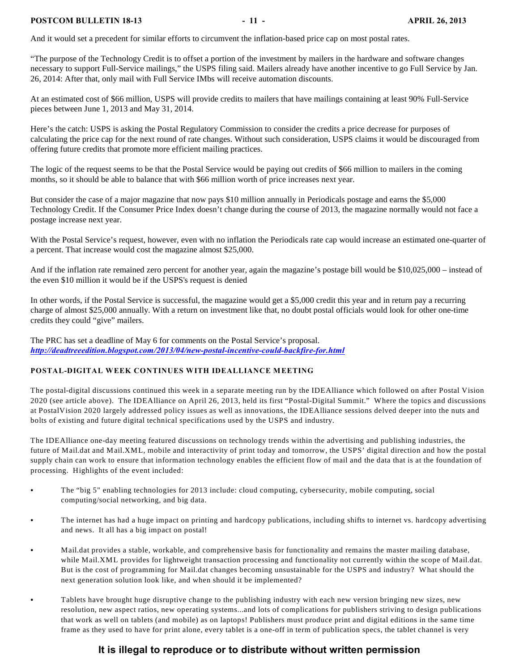#### **POSTCOM BULLETIN 18-13** - 11 - **11 - APRIL 26, 2013**

And it would set a precedent for similar efforts to circumvent the inflation-based price cap on most postal rates.

"The purpose of the Technology Credit is to offset a portion of the investment by mailers in the hardware and software changes necessary to support Full-Service mailings," the USPS filing said. Mailers already have another incentive to go Full Service by Jan. 26, 2014: After that, only mail with Full Service IMbs will receive automation discounts.

At an estimated cost of \$66 million, USPS will provide credits to mailers that have mailings containing at least 90% Full-Service pieces between June 1, 2013 and May 31, 2014.

Here's the catch: USPS is asking the Postal Regulatory Commission to consider the credits a price decrease for purposes of calculating the price cap for the next round of rate changes. Without such consideration, USPS claims it would be discouraged from offering future credits that promote more efficient mailing practices.

The logic of the request seems to be that the Postal Service would be paying out credits of \$66 million to mailers in the coming months, so it should be able to balance that with \$66 million worth of price increases next year.

But consider the case of a major magazine that now pays \$10 million annually in Periodicals postage and earns the \$5,000 Technology Credit. If the Consumer Price Index doesn't change during the course of 2013, the magazine normally would not face a postage increase next year.

With the Postal Service's request, however, even with no inflation the Periodicals rate cap would increase an estimated one-quarter of a percent. That increase would cost the magazine almost \$25,000.

And if the inflation rate remained zero percent for another year, again the magazine's postage bill would be \$10,025,000 – instead of the even \$10 million it would be if the USPS's request is denied

In other words, if the Postal Service is successful, the magazine would get a \$5,000 credit this year and in return pay a recurring charge of almost \$25,000 annually. With a return on investment like that, no doubt postal officials would look for other one-time credits they could "give" mailers.

The PRC has set a deadline of May 6 for comments on the Postal Service's proposal. *<http://deadtreeedition.blogspot.com/2013/04/new-postal-incentive-could-backfire-for.html>*

#### <span id="page-10-0"></span>**POSTAL-DIGITAL WEEK CONTINUES WITH IDEALLIANCE MEETING**

The postal-digital discussions continued this week in a separate meeting run by the IDEAlliance which followed on after Postal Vision 2020 (see article above). The IDEAlliance on April 26, 2013, held its first "Postal-Digital Summit." Where the topics and discussions at PostalVision 2020 largely addressed policy issues as well as innovations, the IDEAlliance sessions delved deeper into the nuts and bolts of existing and future digital technical specifications used by the USPS and industry.

The IDEAlliance one-day meeting featured discussions on technology trends within the advertising and publishing industries, the future of Mail.dat and Mail.XML, mobile and interactivity of print today and tomorrow, the USPS' digital direction and how the postal supply chain can work to ensure that information technology enables the efficient flow of mail and the data that is at the foundation of processing. Highlights of the event included:

- The "big 5" enabling technologies for 2013 include: cloud computing, cybersecurity, mobile computing, social computing/social networking, and big data.
- The internet has had a huge impact on printing and hardcopy publications, including shifts to internet vs. hardcopy advertising and news. It all has a big impact on postal!
- Mail.dat provides a stable, workable, and comprehensive basis for functionality and remains the master mailing database, while Mail.XML provides for lightweight transaction processing and functionality not currently within the scope of Mail.dat. But is the cost of programming for Mail.dat changes becoming unsustainable for the USPS and industry? What should the next generation solution look like, and when should it be implemented?
- Tablets have brought huge disruptive change to the publishing industry with each new version bringing new sizes, new resolution, new aspect ratios, new operating systems...and lots of complications for publishers striving to design publications that work as well on tablets (and mobile) as on laptops! Publishers must produce print and digital editions in the same time frame as they used to have for print alone, every tablet is a one-off in term of publication specs, the tablet channel is very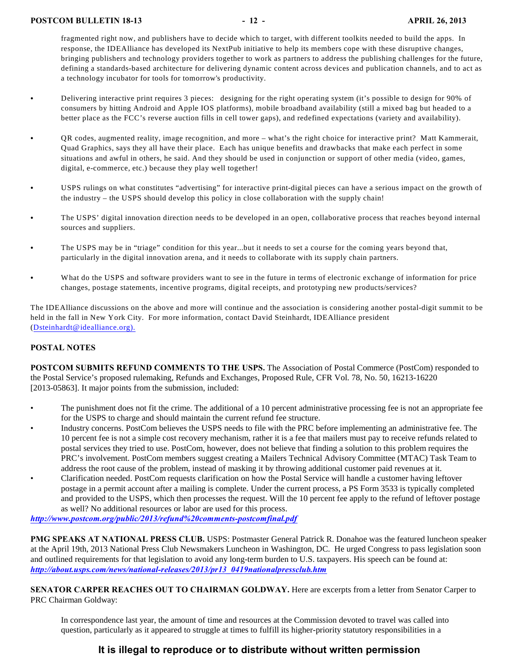fragmented right now, and publishers have to decide which to target, with different toolkits needed to build the apps. In response, the IDEAlliance has developed its NextPub initiative to help its members cope with these disruptive changes, bringing publishers and technology providers together to work as partners to address the publishing challenges for the future, defining a standards-based architecture for delivering dynamic content across devices and publication channels, and to act as a technology incubator for tools for tomorrow's productivity.

- Delivering interactive print requires 3 pieces: designing for the right operating system (it's possible to design for 90% of consumers by hitting Android and Apple IOS platforms), mobile broadband availability (still a mixed bag but headed to a better place as the FCC's reverse auction fills in cell tower gaps), and redefined expectations (variety and availability).
- C QR codes, augmented reality, image recognition, and more what's the right choice for interactive print? Matt Kammerait, Quad Graphics, says they all have their place. Each has unique benefits and drawbacks that make each perfect in some situations and awful in others, he said. And they should be used in conjunction or support of other media (video, games, digital, e-commerce, etc.) because they play well together!
- C USPS rulings on what constitutes "advertising" for interactive print-digital pieces can have a serious impact on the growth of the industry – the USPS should develop this policy in close collaboration with the supply chain!
- The USPS' digital innovation direction needs to be developed in an open, collaborative process that reaches beyond internal sources and suppliers.
- The USPS may be in "triage" condition for this year...but it needs to set a course for the coming years beyond that, particularly in the digital innovation arena, and it needs to collaborate with its supply chain partners.
- What do the USPS and software providers want to see in the future in terms of electronic exchange of information for price changes, postage statements, incentive programs, digital receipts, and prototyping new products/services?

The IDEAlliance discussions on the above and more will continue and the association is considering another postal-digit summit to be held in the fall in New York City. For more information, contact David Steinhardt, IDEAlliance president ([Dsteinhardt@idealliance.org\).](mailto:Dsteinhardt@idealliance.org).)

#### **POSTAL NOTES**

**POSTCOM SUBMITS REFUND COMMENTS TO THE USPS.** The Association of Postal Commerce (PostCom) responded to the Postal Service's proposed rulemaking, Refunds and Exchanges, Proposed Rule, CFR Vol. 78, No. 50, 16213-16220 [2013-05863]. It major points from the submission, included:

- The punishment does not fit the crime. The additional of a 10 percent administrative processing fee is not an appropriate fee for the USPS to charge and should maintain the current refund fee structure.
- Industry concerns. PostCom believes the USPS needs to file with the PRC before implementing an administrative fee. The 10 percent fee is not a simple cost recovery mechanism, rather it is a fee that mailers must pay to receive refunds related to postal services they tried to use. PostCom, however, does not believe that finding a solution to this problem requires the PRC's involvement. PostCom members suggest creating a Mailers Technical Advisory Committee (MTAC) Task Team to address the root cause of the problem, instead of masking it by throwing additional customer paid revenues at it. • Clarification needed. PostCom requests clarification on how the Postal Service will handle a customer having leftover postage in a permit account after a mailing is complete. Under the current process, a PS Form 3533 is typically completed and provided to the USPS, which then processes the request. Will the 10 percent fee apply to the refund of leftover postage

#### as well? No additional resources or labor are used for this process. *<http://www.postcom.org/public/2013/refund%20comments-postcomfinal.pdf>*

**PMG SPEAKS AT NATIONAL PRESS CLUB.** USPS: Postmaster General Patrick R. Donahoe was the featured luncheon speaker at the April 19th, 2013 National Press Club Newsmakers Luncheon in Washington, DC. He urged Congress to pass legislation soon and outlined requirements for that legislation to avoid any long-term burden to U.S. taxpayers. His speech can be found at: *[http://about.usps.com/news/national-releases/2013/pr13\\_0419nationalpressclub.htm](http://about.usps.com/news/national-releases/2013/pr13_0419nationalpressclub.htm)*

**SENATOR CARPER REACHES OUT TO CHAIRMAN GOLDWAY.** Here are excerpts from a letter from Senator Carper to PRC Chairman Goldway:

In correspondence last year, the amount of time and resources at the Commission devoted to travel was called into question, particularly as it appeared to struggle at times to fulfill its higher-priority statutory responsibilities in a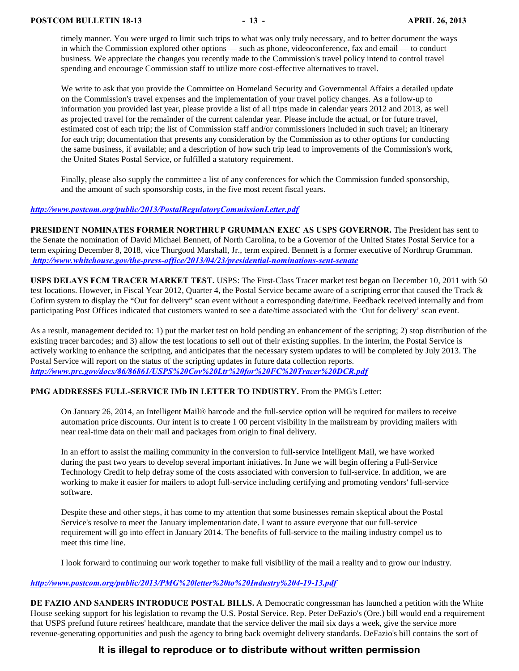timely manner. You were urged to limit such trips to what was only truly necessary, and to better document the ways in which the Commission explored other options — such as phone, videoconference, fax and email — to conduct business. We appreciate the changes you recently made to the Commission's travel policy intend to control travel spending and encourage Commission staff to utilize more cost-effective alternatives to travel.

We write to ask that you provide the Committee on Homeland Security and Governmental Affairs a detailed update on the Commission's travel expenses and the implementation of your travel policy changes. As a follow-up to information you provided last year, please provide a list of all trips made in calendar years 2012 and 2013, as well as projected travel for the remainder of the current calendar year. Please include the actual, or for future travel, estimated cost of each trip; the list of Commission staff and/or commissioners included in such travel; an itinerary for each trip; documentation that presents any consideration by the Commission as to other options for conducting the same business, if available; and a description of how such trip lead to improvements of the Commission's work, the United States Postal Service, or fulfilled a statutory requirement.

Finally, please also supply the committee a list of any conferences for which the Commission funded sponsorship, and the amount of such sponsorship costs, in the five most recent fiscal years.

#### *<http://www.postcom.org/public/2013/PostalRegulatoryCommissionLetter.pdf>*

**PRESIDENT NOMINATES FORMER NORTHRUP GRUMMAN EXEC AS USPS GOVERNOR.** The President has sent to the Senate the nomination of David Michael Bennett, of North Carolina, to be a Governor of the United States Postal Service for a term expiring December 8, 2018, vice Thurgood Marshall, Jr., term expired. Bennett is a former executive of Northrup Grumman.  *[http://www.whitehouse.gov/the-press-office/2013/04/23/presidential-nominations-sent-senate](%20http://www.whitehouse.gov/the-press-office/2013/04/23/presidential-nominations-sent-senate)*

**USPS DELAYS FCM TRACER MARKET TEST.** USPS: The First-Class Tracer market test began on December 10, 2011 with 50 test locations. However, in Fiscal Year 2012, Quarter 4, the Postal Service became aware of a scripting error that caused the Track & Cofirm system to display the "Out for delivery" scan event without a corresponding date/time. Feedback received internally and from participating Post Offices indicated that customers wanted to see a date/time associated with the 'Out for delivery' scan event.

As a result, management decided to: 1) put the market test on hold pending an enhancement of the scripting; 2) stop distribution of the existing tracer barcodes; and 3) allow the test locations to sell out of their existing supplies. In the interim, the Postal Service is actively working to enhance the scripting, and anticipates that the necessary system updates to will be completed by July 2013. The Postal Service will report on the status of the scripting updates in future data collection reports. *<http://www.prc.gov/docs/86/86861/USPS%20Cov%20Ltr%20for%20FC%20Tracer%20DCR.pdf>*

#### **PMG ADDRESSES FULL-SERVICE IMb IN LETTER TO INDUSTRY.** From the PMG's Letter:

On January 26, 2014, an Intelligent Mail® barcode and the full-service option will be required for mailers to receive automation price discounts. Our intent is to create 1 00 percent visibility in the mailstream by providing mailers with near real-time data on their mail and packages from origin to final delivery.

In an effort to assist the mailing community in the conversion to full-service Intelligent Mail, we have worked during the past two years to develop several important initiatives. In June we will begin offering a Full-Service Technology Credit to help defray some of the costs associated with conversion to full-service. In addition, we are working to make it easier for mailers to adopt full-service including certifying and promoting vendors' full-service software.

Despite these and other steps, it has come to my attention that some businesses remain skeptical about the Postal Service's resolve to meet the January implementation date. I want to assure everyone that our full-service requirement will go into effect in January 2014. The benefits of full-service to the mailing industry compel us to meet this time line.

I look forward to continuing our work together to make full visibility of the mail a reality and to grow our industry.

#### *<http://www.postcom.org/public/2013/PMG%20letter%20to%20Industry%204-19-13.pdf>*

**DE FAZIO AND SANDERS INTRODUCE POSTAL BILLS.** A Democratic congressman has launched a petition with the White House seeking support for his legislation to revamp the U.S. Postal Service. Rep. Peter DeFazio's (Ore.) bill would end a requirement that USPS prefund future retirees' healthcare, mandate that the service deliver the mail six days a week, give the service more revenue-generating opportunities and push the agency to bring back overnight delivery standards. DeFazio's bill contains the sort of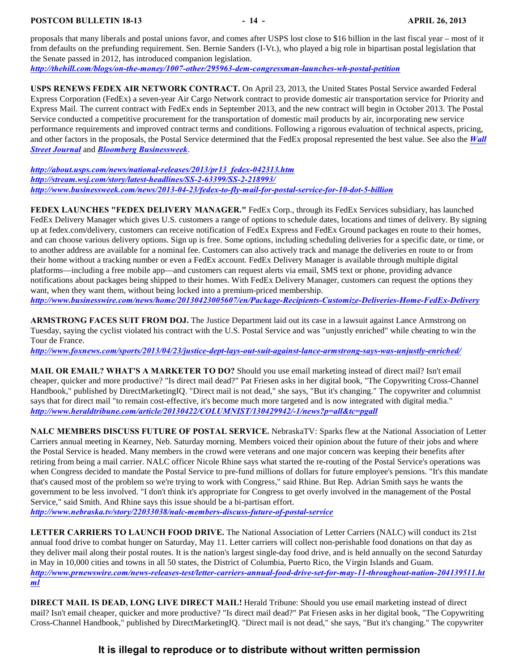proposals that many liberals and postal unions favor, and comes after USPS lost close to \$16 billion in the last fiscal year – most of it from defaults on the prefunding requirement. Sen. Bernie Sanders (I-Vt.), who played a big role in bipartisan postal legislation that the Senate passed in 2012, has introduced companion legislation.

*<http://thehill.com/blogs/on-the-money/1007-other/295963-dem-congressman-launches-wh-postal-petition>*

**USPS RENEWS FEDEX AIR NETWORK CONTRACT.** On April 23, 2013, the United States Postal Service awarded Federal Express Corporation (FedEx) a seven-year Air Cargo Network contract to provide domestic air transportation service for Priority and Express Mail. The current contract with FedEx ends in September 2013, and the new contract will begin in October 2013. The Postal Service conducted a competitive procurement for the transportation of domestic mail products by air, incorporating new service performance requirements and improved contract terms and conditions. Following a rigorous evaluation of technical aspects, pricing, and other factors in the proposals, the Postal Service determined that the FedEx proposal represented the best value. See also the *[Wall](http://stream.wsj.com/story/latest-headlines/SS-2-63399/SS-2-218993/) [Street Journal](http://stream.wsj.com/story/latest-headlines/SS-2-63399/SS-2-218993/)* and *[Bloomberg Businessweek](http://www.businessweek.com/news/2013-04-23/fedex-to-fly-mail-for-postal-service-for-10-dot-5-billion)*.

*[http://about.usps.com/news/national-releases/2013/pr13\\_fedex-042313.htm](http://about.usps.com/news/national-releases/2013/pr13_fedex-042313.htm) <http://stream.wsj.com/story/latest-headlines/SS-2-63399/SS-2-218993/> <http://www.businessweek.com/news/2013-04-23/fedex-to-fly-mail-for-postal-service-for-10-dot-5-billion>*

**FEDEX LAUNCHES "FEDEX DELIVERY MANAGER."** FedEx Corp., through its FedEx Services subsidiary, has launched FedEx Delivery Manager which gives U.S. customers a range of options to schedule dates, locations and times of delivery. By signing up at fedex.com/delivery, customers can receive notification of FedEx Express and FedEx Ground packages en route to their homes, and can choose various delivery options. Sign up is free. Some options, including scheduling deliveries for a specific date, or time, or to another address are available for a nominal fee. Customers can also actively track and manage the deliveries en route to or from their home without a tracking number or even a FedEx account. FedEx Delivery Manager is available through multiple digital platforms—including a free mobile app—and customers can request alerts via email, SMS text or phone, providing advance notifications about packages being shipped to their homes. With FedEx Delivery Manager, customers can request the options they want, when they want them, without being locked into a premium-priced membership.

*<http://www.businesswire.com/news/home/20130423005607/en/Package-Recipients-Customize-Deliveries-Home-FedEx-Delivery>*

**ARMSTRONG FACES SUIT FROM DOJ.** The Justice Department laid out its case in a lawsuit against Lance Armstrong on Tuesday, saying the cyclist violated his contract with the U.S. Postal Service and was "unjustly enriched" while cheating to win the Tour de France.

*<http://www.foxnews.com/sports/2013/04/23/justice-dept-lays-out-suit-against-lance-armstrong-says-was-unjustly-enriched/>*

**MAIL OR EMAIL? WHAT'S A MARKETER TO DO?** Should you use email marketing instead of direct mail? Isn't email cheaper, quicker and more productive? "Is direct mail dead?" Pat Friesen asks in her digital book, "The Copywriting Cross-Channel Handbook," published by DirectMarketingIQ. "Direct mail is not dead," she says, "But it's changing." The copywriter and columnist says that for direct mail "to remain cost-effective, it's become much more targeted and is now integrated with digital media." *<http://www.heraldtribune.com/article/20130422/COLUMNIST/130429942/-1/news?p=all&tc=pgall>*

**NALC MEMBERS DISCUSS FUTURE OF POSTAL SERVICE.** NebraskaTV: Sparks flew at the National Association of Letter Carriers annual meeting in Kearney, Neb. Saturday morning. Members voiced their opinion about the future of their jobs and where the Postal Service is headed. Many members in the crowd were veterans and one major concern was keeping their benefits after retiring from being a mail carrier. NALC officer Nicole Rhine says what started the re-routing of the Postal Service's operations was when Congress decided to mandate the Postal Service to pre-fund millions of dollars for future employee's pensions. "It's this mandate that's caused most of the problem so we're trying to work with Congress," said Rhine. But Rep. Adrian Smith says he wants the government to be less involved. "I don't think it's appropriate for Congress to get overly involved in the management of the Postal Service," said Smith. And Rhine says this issue should be a bi-partisan effort.

*<http://www.nebraska.tv/story/22033038/nalc-members-discuss-future-of-postal-service>*

**LETTER CARRIERS TO LAUNCH FOOD DRIVE.** The National Association of Letter Carriers (NALC) will conduct its 21st annual food drive to combat hunger on Saturday, May 11. Letter carriers will collect non-perishable food donations on that day as they deliver mail along their postal routes. It is the nation's largest single-day food drive, and is held annually on the second Saturday in May in 10,000 cities and towns in all 50 states, the District of Columbia, Puerto Rico, the Virgin Islands and Guam. *[http://www.prnewswire.com/news-releases-test/letter-carriers-annual-food-drive-set-for-may-11-throughout-nation-204139511.ht](http://www.prnewswire.com/news-releases-test/letter-carriers-annual-food-drive-set-for-may-11-throughout-nation-204139511.html) [ml](http://www.prnewswire.com/news-releases-test/letter-carriers-annual-food-drive-set-for-may-11-throughout-nation-204139511.html)*

**DIRECT MAIL IS DEAD, LONG LIVE DIRECT MAIL!** Herald Tribune: Should you use email marketing instead of direct mail? Isn't email cheaper, quicker and more productive? "Is direct mail dead?" Pat Friesen asks in her digital book, "The Copywriting Cross-Channel Handbook," published by DirectMarketingIQ. "Direct mail is not dead," she says, "But it's changing." The copywriter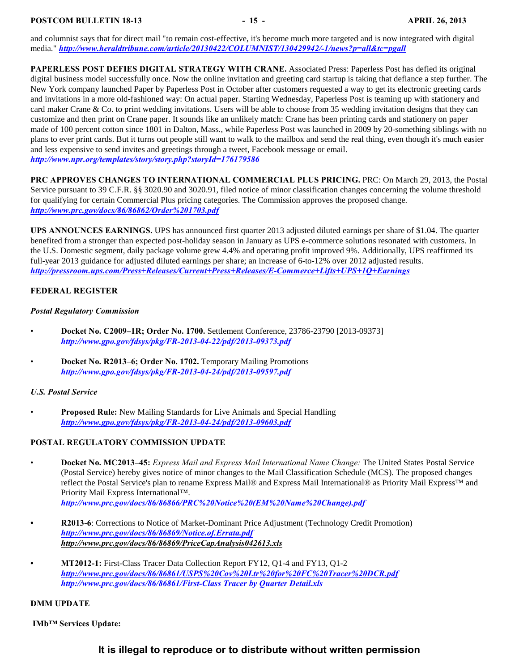and columnist says that for direct mail "to remain cost-effective, it's become much more targeted and is now integrated with digital media." *<http://www.heraldtribune.com/article/20130422/COLUMNIST/130429942/-1/news?p=all&tc=pgall>*

**PAPERLESS POST DEFIES DIGITAL STRATEGY WITH CRANE.** Associated Press: Paperless Post has defied its original digital business model successfully once. Now the online invitation and greeting card startup is taking that defiance a step further. The New York company launched Paper by Paperless Post in October after customers requested a way to get its electronic greeting cards and invitations in a more old-fashioned way: On actual paper. Starting Wednesday, Paperless Post is teaming up with stationery and card maker Crane & Co. to print wedding invitations. Users will be able to choose from 35 wedding invitation designs that they can customize and then print on Crane paper. It sounds like an unlikely match: Crane has been printing cards and stationery on paper made of 100 percent cotton since 1801 in Dalton, Mass., while Paperless Post was launched in 2009 by 20-something siblings with no plans to ever print cards. But it turns out people still want to walk to the mailbox and send the real thing, even though it's much easier and less expensive to send invites and greetings through a tweet, Facebook message or email. *<http://www.npr.org/templates/story/story.php?storyId=176179586>*

**PRC APPROVES CHANGES TO INTERNATIONAL COMMERCIAL PLUS PRICING.** PRC: On March 29, 2013, the Postal Service pursuant to 39 C.F.R. §§ 3020.90 and 3020.91, filed notice of minor classification changes concerning the volume threshold for qualifying for certain Commercial Plus pricing categories. The Commission approves the proposed change. *<http://www.prc.gov/docs/86/86862/Order%201703.pdf>*

**UPS ANNOUNCES EARNINGS.** UPS has announced first quarter 2013 adjusted diluted earnings per share of \$1.04. The quarter benefited from a stronger than expected post-holiday season in January as UPS e-commerce solutions resonated with customers. In the U.S. Domestic segment, daily package volume grew 4.4% and operating profit improved 9%. Additionally, UPS reaffirmed its full-year 2013 guidance for adjusted diluted earnings per share; an increase of 6-to-12% over 2012 adjusted results. *<http://pressroom.ups.com/Press+Releases/Current+Press+Releases/E-Commerce+Lifts+UPS+1Q+Earnings>*

#### <span id="page-14-0"></span>**FEDERAL REGISTER**

#### *Postal Regulatory Commission*

- **Docket No. C2009–1R; Order No. 1700.** Settlement Conference, 23786-23790 [2013-09373] *<http://www.gpo.gov/fdsys/pkg/FR-2013-04-22/pdf/2013-09373.pdf>*
- **Docket No. R2013–6; Order No. 1702.** Temporary Mailing Promotions *<http://www.gpo.gov/fdsys/pkg/FR-2013-04-24/pdf/2013-09597.pdf>*

#### *U.S. Postal Service*

• **Proposed Rule:** New Mailing Standards for Live Animals and Special Handling *<http://www.gpo.gov/fdsys/pkg/FR-2013-04-24/pdf/2013-09603.pdf>*

#### **POSTAL REGULATORY COMMISSION UPDATE**

- **Docket No. MC2013–45:** *Express Mail and Express Mail International Name Change:* The United States Postal Service (Postal Service) hereby gives notice of minor changes to the Mail Classification Schedule (MCS). The proposed changes reflect the Postal Service's plan to rename Express Mail® and Express Mail International® as Priority Mail Express™ and Priority Mail Express International™. *[http://www.prc.gov/docs/86/86866/PRC%20Notice%20\(EM%20Name%20Change\).pdf](http://www.prc.gov/docs/86/86866/PRC%20Notice%20(EM%20Name%20Change).pdf)*
- **R2013-6**: Corrections to Notice of Market-Dominant Price Adjustment (Technology Credit Promotion) *<http://www.prc.gov/docs/86/86869/Notice.of.Errata.pdf> <http://www.prc.gov/docs/86/86869/PriceCapAnalysis042613.xls>*
- **MT2012-1:** First-Class Tracer Data Collection Report FY12, Q1-4 and FY13, Q1-2 *<http://www.prc.gov/docs/86/86861/USPS%20Cov%20Ltr%20for%20FC%20Tracer%20DCR.pdf> [http://www.prc.gov/docs/86/86861/First-Class Tracer by Quarter Detail.xls](http://www.prc.gov/docs/86/86861/First-Class%20Tracer%20by%20Quarter%20Detail.xls)*

#### **DMM UPDATE**

 **IMb™ Services Update:**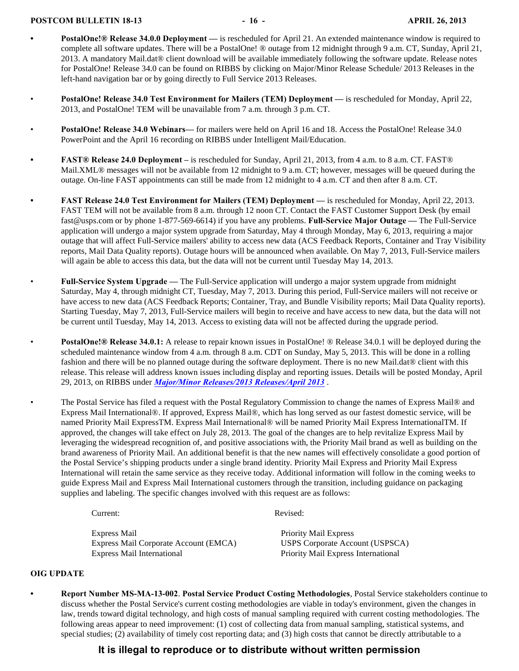#### **POSTCOM BULLETIN 18-13** - 16 - **16 - APRIL 26, 2013**

- **PostalOne!® Release 34.0.0 Deployment** is rescheduled for April 21. An extended maintenance window is required to complete all software updates. There will be a PostalOne! ® outage from 12 midnight through 9 a.m. CT, Sunday, April 21, 2013. A mandatory Mail.dat® client download will be available immediately following the software update. Release notes for PostalOne! Release 34.0 can be found on RIBBS by clicking on Major/Minor Release Schedule/ 2013 Releases in the left-hand navigation bar or by going directly to Full Service 2013 Releases.
- **PostalOne! Release 34.0 Test Environment for Mailers (TEM) Deployment —** is rescheduled for Monday, April 22, 2013, and PostalOne! TEM will be unavailable from 7 a.m. through 3 p.m. CT.
- **PostalOne! Release 34.0 Webinars—** for mailers were held on April 16 and 18. Access the PostalOne! Release 34.0 PowerPoint and the April 16 recording on RIBBS under Intelligent Mail/Education.
- **FAST® Release 24.0 Deployment** is rescheduled for Sunday, April 21, 2013, from 4 a.m. to 8 a.m. CT. FAST® Mail.XML® messages will not be available from 12 midnight to 9 a.m. CT; however, messages will be queued during the outage. On-line FAST appointments can still be made from 12 midnight to 4 a.m. CT and then after 8 a.m. CT.
	- **FAST Release 24.0 Test Environment for Mailers (TEM) Deployment —** is rescheduled for Monday, April 22, 2013. FAST TEM will not be available from 8 a.m. through 12 noon CT. Contact the FAST Customer Support Desk (by email fast@usps.com or by phone 1-877-569-6614) if you have any problems. **Full-Service Major Outage —** The Full-Service application will undergo a major system upgrade from Saturday, May 4 through Monday, May 6, 2013, requiring a major outage that will affect Full-Service mailers' ability to access new data (ACS Feedback Reports, Container and Tray Visibility reports, Mail Data Quality reports). Outage hours will be announced when available. On May 7, 2013, Full-Service mailers will again be able to access this data, but the data will not be current until Tuesday May 14, 2013.
		- **Full-Service System Upgrade** The Full-Service application will undergo a major system upgrade from midnight Saturday, May 4, through midnight CT, Tuesday, May 7, 2013. During this period, Full-Service mailers will not receive or have access to new data (ACS Feedback Reports; Container, Tray, and Bundle Visibility reports; Mail Data Quality reports). Starting Tuesday, May 7, 2013, Full-Service mailers will begin to receive and have access to new data, but the data will not be current until Tuesday, May 14, 2013. Access to existing data will not be affected during the upgrade period.
		- **PostalOne!® Release 34.0.1:** A release to repair known issues in PostalOne! ® Release 34.0.1 will be deployed during the scheduled maintenance window from 4 a.m. through 8 a.m. CDT on Sunday, May 5, 2013. This will be done in a rolling fashion and there will be no planned outage during the software deployment. There is no new Mail.dat® client with this release. This release will address known issues including display and reporting issues. Details will be posted Monday, April 29, 2013, on RIBBS under *[Major/Minor Releases/2013 Releases/April 2013](https://ribbs.usps.gov/intelligentmail_schedule2013/releaseoverview2013.cfm)* .
			- The Postal Service has filed a request with the Postal Regulatory Commission to change the names of Express Mail® and Express Mail International®. If approved, Express Mail®, which has long served as our fastest domestic service, will be named Priority Mail ExpressTM. Express Mail International® will be named Priority Mail Express InternationalTM. If approved, the changes will take effect on July 28, 2013. The goal of the changes are to help revitalize Express Mail by leveraging the widespread recognition of, and positive associations with, the Priority Mail brand as well as building on the brand awareness of Priority Mail. An additional benefit is that the new names will effectively consolidate a good portion of the Postal Service's shipping products under a single brand identity. Priority Mail Express and Priority Mail Express International will retain the same service as they receive today. Additional information will follow in the coming weeks to guide Express Mail and Express Mail International customers through the transition, including guidance on packaging supplies and labeling. The specific changes involved with this request are as follows:

Express Mail **Express Mail** Priority Mail Express Express Mail Corporate Account (EMCA) USPS Corporate Account (USPSCA) Express Mail International Priority Mail Express International

Current: Revised:

#### **OIG UPDATE**

**• Report Number MS-MA-13-002**. **Postal Service Product Costing Methodologies**, Postal Service stakeholders continue to discuss whether the Postal Service's current costing methodologies are viable in today's environment, given the changes in law, trends toward digital technology, and high costs of manual sampling required with current costing methodologies. The following areas appear to need improvement: (1) cost of collecting data from manual sampling, statistical systems, and special studies; (2) availability of timely cost reporting data; and (3) high costs that cannot be directly attributable to a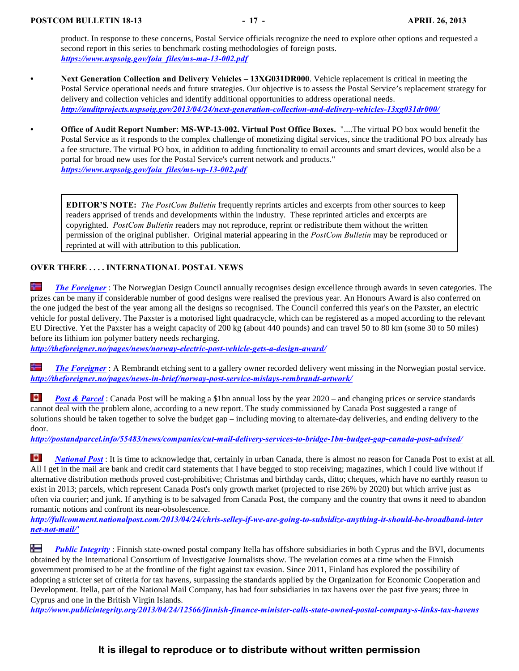product. In response to these concerns, Postal Service officials recognize the need to explore other options and requested a second report in this series to benchmark costing methodologies of foreign posts. *[https://www.uspsoig.gov/foia\\_files/ms-ma-13-002.pdf](https://www.uspsoig.gov/foia_files/ms-ma-13-002.pdf)*

- **Next Generation Collection and Delivery Vehicles 13XG031DR000**. Vehicle replacement is critical in meeting the Postal Service operational needs and future strategies. Our objective is to assess the Postal Service's replacement strategy for delivery and collection vehicles and identify additional opportunities to address operational needs. *<http://auditprojects.uspsoig.gov/2013/04/24/next-generation-collection-and-delivery-vehicles-13xg031dr000/>*
	- **Office of Audit Report Number: MS-WP-13-002. Virtual Post Office Boxes.** "....The virtual PO box would benefit the Postal Service as it responds to the complex challenge of monetizing digital services, since the traditional PO box already has a fee structure. The virtual PO box, in addition to adding functionality to email accounts and smart devices, would also be a portal for broad new uses for the Postal Service's current network and products." *[https://www.uspsoig.gov/foia\\_files/ms-wp-13-002.pdf](https://www.uspsoig.gov/foia_files/ms-wp-13-002.pdf)*

**EDITOR'S NOTE:** *The PostCom Bulletin* frequently reprints articles and excerpts from other sources to keep readers apprised of trends and developments within the industry. These reprinted articles and excerpts are copyrighted. *PostCom Bulletin* readers may not reproduce, reprint or redistribute them without the written permission of the original publisher. Original material appearing in the *PostCom Bulletin* may be reproduced or reprinted at will with attribution to this publication.

#### **OVER THERE . . . . INTERNATIONAL POSTAL NEWS**

╬ *[The Foreigner](http://theforeigner.no/pages/news/norway-electric-post-vehicle-gets-a-design-award/)* : The Norwegian Design Council annually recognises design excellence through awards in seven categories. The prizes can be many if considerable number of good designs were realised the previous year. An Honours Award is also conferred on the one judged the best of the year among all the designs so recognised. The Council conferred this year's on the Paxster, an electric vehicle for postal delivery. The Paxster is a motorised light quadracycle, which can be registered as a moped according to the relevant EU Directive. Yet the Paxster has a weight capacity of 200 kg (about 440 pounds) and can travel 50 to 80 km (some 30 to 50 miles) before its lithium ion polymer battery needs recharging.

*<http://theforeigner.no/pages/news/norway-electric-post-vehicle-gets-a-design-award/>*

岩 *[The Foreigner](http://theforeigner.no/pages/news-in-brief/norway-post-service-mislays-rembrandt-artwork/)* : A Rembrandt etching sent to a gallery owner recorded delivery went missing in the Norwegian postal service. *<http://theforeigner.no/pages/news-in-brief/norway-post-service-mislays-rembrandt-artwork/>*

tel. *[Post & Parcel](http://postandparcel.info/55483/news/companies/cut-mail-delivery-services-to-bridge-1bn-budget-gap-canada-post-advised/)* : Canada Post will be making a \$1bn annual loss by the year 2020 – and changing prices or service standards cannot deal with the problem alone, according to a new report. The study commissioned by Canada Post suggested a range of solutions should be taken together to solve the budget gap – including moving to alternate-day deliveries, and ending delivery to the door.

*<http://postandparcel.info/55483/news/companies/cut-mail-delivery-services-to-bridge-1bn-budget-gap-canada-post-advised/>*

TO. *[National Post](http://fullcomment.nationalpost.com/2013/04/24/chris-selley-if-we-are-going-to-subsidize-anything-it-should-be-broadband-internet-not-mail/)* : It is time to acknowledge that, certainly in urban Canada, there is almost no reason for Canada Post to exist at all. All I get in the mail are bank and credit card statements that I have begged to stop receiving; magazines, which I could live without if alternative distribution methods proved cost-prohibitive; Christmas and birthday cards, ditto; cheques, which have no earthly reason to exist in 2013; parcels, which represent Canada Post's only growth market (projected to rise 26% by 2020) but which arrive just as often via courier; and junk. If anything is to be salvaged from Canada Post, the company and the country that owns it need to abandon romantic notions and confront its near-obsolescence.

*[http://fullcomment.nationalpost.com/2013/04/24/chris-selley-if-we-are-going-to-subsidize-anything-it-should-be-broadband-inter](http://fullcomment.nationalpost.com/2013/04/24/chris-selley-if-we-are-going-to-subsidize-anything-it-should-be-broadband-internet-not-mail/) [net-not-mail/'](http://fullcomment.nationalpost.com/2013/04/24/chris-selley-if-we-are-going-to-subsidize-anything-it-should-be-broadband-internet-not-mail/)*

Ť *[Public Integrity](http://www.publicintegrity.org/2013/04/24/12566/finnish-finance-minister-calls-state-owned-postal-company-s-links-tax-havens)* : Finnish state-owned postal company Itella has offshore subsidiaries in both Cyprus and the BVI, documents obtained by the International Consortium of Investigative Journalists show. The revelation comes at a time when the Finnish government promised to be at the frontline of the fight against tax evasion. Since 2011, Finland has explored the possibility of adopting a stricter set of criteria for tax havens, surpassing the standards applied by the Organization for Economic Cooperation and Development. Itella, part of the National Mail Company, has had four subsidiaries in tax havens over the past five years; three in Cyprus and one in the British Virgin Islands.

*<http://www.publicintegrity.org/2013/04/24/12566/finnish-finance-minister-calls-state-owned-postal-company-s-links-tax-havens>*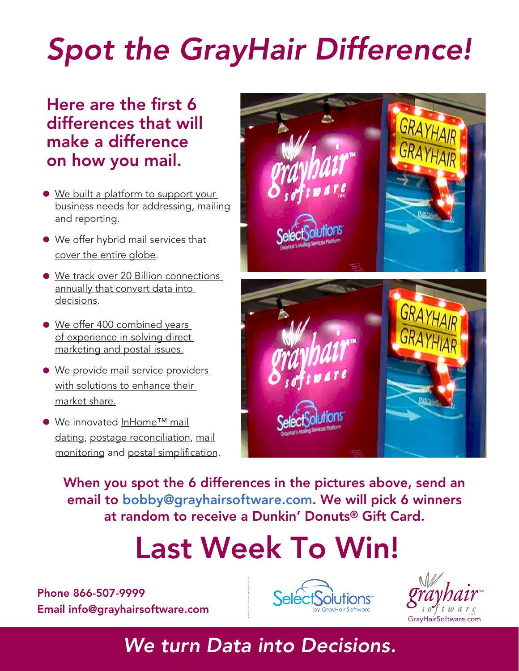# *Spot the GrayHair Difference!*

# Here are the first 6 differences that will make a difference on how you mail.

- We built a platform to support your [business needs for addressing, mailing](http://www.grayhairsoftware.com/selectsolutions.html)  and reporting.
- [We offer hybrid mail services that](http://www.grayhairsoftware.com/global-hybrid-mail.html) cover the entire globe.
- [We track over 20 Billion connections](http://www.grayhairsoftware.com/owners-mail-tracking-outbound.html) annually that convert data into decisions.
- We offer 400 combined years [of experience in solving direct](http://www.grayhairsoftware.com/team.html)  marketing and postal issues.
- [We provide mail service providers](http://www.grayhairsoftware.com/resellers.html) with solutions to enhance their market share.
- We innovated [InHome™ mail](http://www.grayhairsoftware.com/owners-mail-tracking-outbound.html) [dating](http://www.grayhairsoftware.com/owners-mail-tracking-outbound.html), [postage reconciliation,](http://www.grayhairsoftware.com/owners-postage-reconcilliation-mailreport.html) [mail](http://www.grayhairsoftware.com/owners-dedicated-mail-monitoring-mailwatch.html) [monitoring](http://www.grayhairsoftware.com/owners-dedicated-mail-monitoring-mailwatch.html) and [postal simplification](http://www.grayhairsoftware.com/owners-mail-dat-file-validation-mailvalidator.html).



When you spot the 6 differences in the pictures above, send an email to bobby@grayhairsoftware.com. We will pick 6 winners at random to receive a Dunkin' Donuts® Gift Card.

# Last Week To Win!

Phone 866-507-9999 Email info@grayhairsoftware.com





# *We turn Data into Decisions.*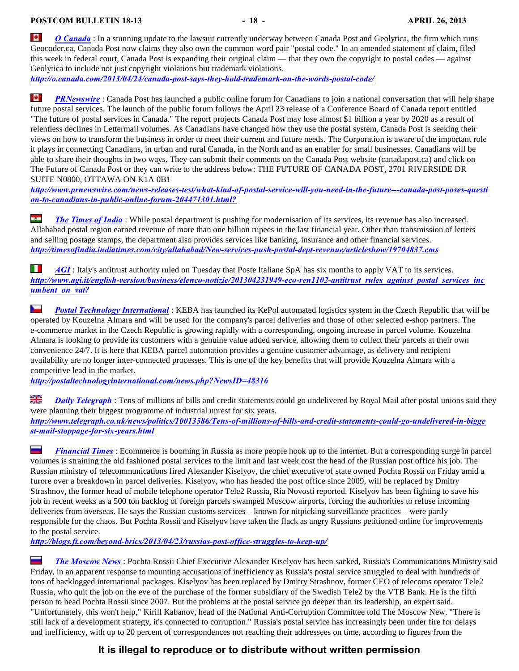ne. *[O Canada](http://o.canada.com/2013/04/24/canada-post-says-they-hold-trademark-on-the-words-postal-code/)* : In a stunning update to the lawsuit currently underway between Canada Post and Geolytica, the firm which runs Geocoder.ca, Canada Post now claims they also own the common word pair "postal code." In an amended statement of claim, filed this week in federal court, Canada Post is expanding their original claim — that they own the copyright to postal codes — against Geolytica to include not just copyright violations but trademark violations.

*<http://o.canada.com/2013/04/24/canada-post-says-they-hold-trademark-on-the-words-postal-code/>*

le. *[PRNewswire](http://www.prnewswire.com/news-releases-test/what-kind-of-postal-service-will-you-need-in-the-future---canada-post-poses-question-to-canadians-in-public-online-forum-204471301.html?)* : Canada Post has launched a public online forum for Canadians to join a national conversation that will help shape future postal services. The launch of the public forum follows the April 23 release of a Conference Board of Canada report entitled "The future of postal services in Canada." The report projects Canada Post may lose almost \$1 billion a year by 2020 as a result of relentless declines in Lettermail volumes. As Canadians have changed how they use the postal system, Canada Post is seeking their views on how to transform the business in order to meet their current and future needs. The Corporation is aware of the important role it plays in connecting Canadians, in urban and rural Canada, in the North and as an enabler for small businesses. Canadians will be able to share their thoughts in two ways. They can submit their comments on the Canada Post website (canadapost.ca) and click on The Future of Canada Post or they can write to the address below: THE FUTURE OF CANADA POST, 2701 RIVERSIDE DR SUITE N0800, OTTAWA ON K1A 0B1

*[http://www.prnewswire.com/news-releases-test/what-kind-of-postal-service-will-you-need-in-the-future---canada-post-poses-questi](http://www.prnewswire.com/news-releases-test/what-kind-of-postal-service-will-you-need-in-the-future---canada-post-poses-question-to-canadians-in-public-online-forum-204471301.html?) [on-to-canadians-in-public-online-forum-204471301.html?](http://www.prnewswire.com/news-releases-test/what-kind-of-postal-service-will-you-need-in-the-future---canada-post-poses-question-to-canadians-in-public-online-forum-204471301.html?)*

**SCHOOL** *[The Times of India](http://timesofindia.indiatimes.com/city/allahabad/New-services-push-postal-dept-revenue/articleshow/19704837.cms)* : While postal department is pushing for modernisation of its services, its revenue has also increased. Allahabad postal region earned revenue of more than one billion rupees in the last financial year. Other than transmission of letters and selling postage stamps, the department also provides services like banking, insurance and other financial services. *<http://timesofindia.indiatimes.com/city/allahabad/New-services-push-postal-dept-revenue/articleshow/19704837.cms>*

M. *[AGI](http://www.agi.it/english-version/business/elenco-notizie/201304231949-eco-ren1102-antitrust_rules_against_postal_services_incumbent_on_vat?)* : Italy's antitrust authority ruled on Tuesday that Poste Italiane SpA has six months to apply VAT to its services. *[http://www.agi.it/english-version/business/elenco-notizie/201304231949-eco-ren1102-antitrust\\_rules\\_against\\_postal\\_services\\_inc](http://www.agi.it/english-version/business/elenco-notizie/201304231949-eco-ren1102-antitrust_rules_against_postal_services_incumbent_on_vat?) [umbent\\_on\\_vat?](http://www.agi.it/english-version/business/elenco-notizie/201304231949-eco-ren1102-antitrust_rules_against_postal_services_incumbent_on_vat?)*

ľ **[Postal Technology International](http://postaltechnologyinternational.com/news.php?NewsID=48316)**: KEBA has launched its KePol automated logistics system in the Czech Republic that will be operated by Kouzelna Almara and will be used for the company's parcel deliveries and those of other selected e-shop partners. The e-commerce market in the Czech Republic is growing rapidly with a corresponding, ongoing increase in parcel volume. Kouzelna Almara is looking to provide its customers with a genuine value added service, allowing them to collect their parcels at their own convenience 24/7. It is here that KEBA parcel automation provides a genuine customer advantage, as delivery and recipient availability are no longer inter-connected processes. This is one of the key benefits that will provide Kouzelna Almara with a competitive lead in the market.

*<http://postaltechnologyinternational.com/news.php?NewsID=48316>*

읡 **[Daily Telegraph](http://www.telegraph.co.uk/news/politics/10013586/Tens-of-millions-of-bills-and-credit-statements-could-go-undelivered-in-biggest-mail-stoppage-for-six-years.html)**: Tens of millions of bills and credit statements could go undelivered by Royal Mail after postal unions said they were planning their biggest programme of industrial unrest for six years.

*[http://www.telegraph.co.uk/news/politics/10013586/Tens-of-millions-of-bills-and-credit-statements-could-go-undelivered-in-bigge](http://www.telegraph.co.uk/news/politics/10013586/Tens-of-millions-of-bills-and-credit-statements-could-go-undelivered-in-biggest-mail-stoppage-for-six-years.html) [st-mail-stoppage-for-six-years.html](http://www.telegraph.co.uk/news/politics/10013586/Tens-of-millions-of-bills-and-credit-statements-could-go-undelivered-in-biggest-mail-stoppage-for-six-years.html)*

 $\overline{\phantom{a}}$ *[Financial Times](http://blogs.ft.com/beyond-brics/2013/04/23/russias-post-office-struggles-to-keep-up/)* : Ecommerce is booming in Russia as more people hook up to the internet. But a corresponding surge in parcel volumes is straining the old fashioned postal services to the limit and last week cost the head of the Russian post office his job. The Russian ministry of telecommunications fired Alexander Kiselyov, the chief executive of state owned Pochta Rossii on Friday amid a furore over a breakdown in parcel deliveries. Kiselyov, who has headed the post office since 2009, will be replaced by Dmitry Strashnov, the former head of mobile telephone operator Tele2 Russia, Ria Novosti reported. Kiselyov has been fighting to save his job in recent weeks as a 500 ton backlog of foreign parcels swamped Moscow airports, forcing the authorities to refuse incoming deliveries from overseas. He says the Russian customs services – known for nitpicking surveillance practices – were partly responsible for the chaos. But Pochta Rossii and Kiselyov have taken the flack as angry Russians petitioned online for improvements to the postal service.

*<http://blogs.ft.com/beyond-brics/2013/04/23/russias-post-office-struggles-to-keep-up/>*

*[The Moscow News](http://themoscownews.com/russianews/20130419/191452481/Russian-postal-service-chief-sacked.html)* : Pochta Rossii Chief Executive Alexander Kiselyov has been sacked, Russia's Communications Ministry said Friday, in an apparent response to mounting accusations of inefficiency as Russia's postal service struggled to deal with hundreds of tons of backlogged international packages. Kiselyov has been replaced by Dmitry Strashnov, former CEO of telecoms operator Tele2 Russia, who quit the job on the eve of the purchase of the former subsidiary of the Swedish Tele2 by the VTB Bank. He is the fifth person to head Pochta Rossii since 2007. But the problems at the postal service go deeper than its leadership, an expert said. "Unfortunately, this won't help," Kirill Kabanov, head of the National Anti-Corruption Committee told The Moscow New. "There is still lack of a development strategy, it's connected to corruption." Russia's postal service has increasingly been under fire for delays and inefficiency, with up to 20 percent of correspondences not reaching their addressees on time, according to figures from the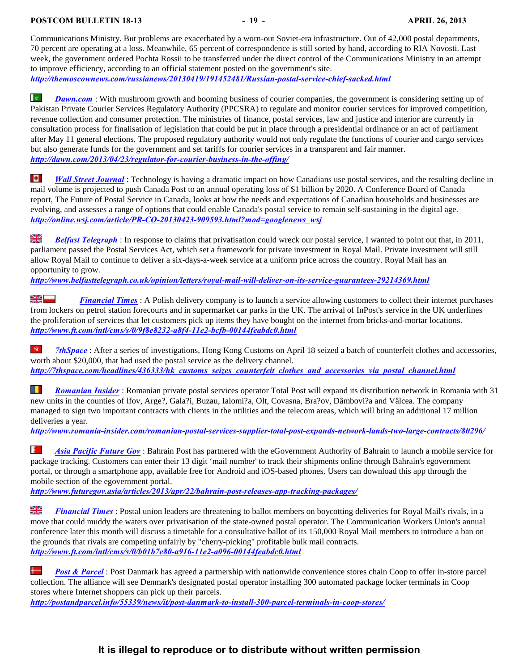Communications Ministry. But problems are exacerbated by a worn-out Soviet-era infrastructure. Out of 42,000 postal departments, 70 percent are operating at a loss. Meanwhile, 65 percent of correspondence is still sorted by hand, according to RIA Novosti. Last week, the government ordered Pochta Rossii to be transferred under the direct control of the Communications Ministry in an attempt to improve efficiency, according to an official statement posted on the government's site. *<http://themoscownews.com/russianews/20130419/191452481/Russian-postal-service-chief-sacked.html>*

l e i *[Dawn.com](http://dawn.com/2013/04/23/regulator-for-courier-business-in-the-offing/)* : With mushroom growth and booming business of courier companies, the government is considering setting up of Pakistan Private Courier Services Regulatory Authority (PPCSRA) to regulate and monitor courier services for improved competition, revenue collection and consumer protection. The ministries of finance, postal services, law and justice and interior are currently in consultation process for finalisation of legislation that could be put in place through a presidential ordinance or an act of parliament after May 11 general elections. The proposed regulatory authority would not only regulate the functions of courier and cargo services but also generate funds for the government and set tariffs for courier services in a transparent and fair manner.

*<http://dawn.com/2013/04/23/regulator-for-courier-business-in-the-offing/>*

TO. *[Wall Street Journal](http://online.wsj.com/article/PR-CO-20130423-909593.html?mod=googlenews_wsj)* : Technology is having a dramatic impact on how Canadians use postal services, and the resulting decline in mail volume is projected to push Canada Post to an annual operating loss of \$1 billion by 2020. A Conference Board of Canada report, The Future of Postal Service in Canada, looks at how the needs and expectations of Canadian households and businesses are evolving, and assesses a range of options that could enable Canada's postal service to remain self-sustaining in the digital age. *[http://online.wsj.com/article/PR-CO-20130423-909593.html?mod=googlenews\\_wsj](http://online.wsj.com/article/PR-CO-20130423-909593.html?mod=googlenews_wsj)*

질년<br>기도 *[Belfast Telegraph](http://www.belfasttelegraph.co.uk/opinion/letters/royal-mail-will-deliver-on-its-service-guarantees-29214369.html)* : In response to claims that privatisation could wreck our postal service, I wanted to point out that, in 2011, parliament passed the Postal Services Act, which set a framework for private investment in Royal Mail. Private investment will still allow Royal Mail to continue to deliver a six-days-a-week service at a uniform price across the country. Royal Mail has an opportunity to grow.

*<http://www.belfasttelegraph.co.uk/opinion/letters/royal-mail-will-deliver-on-its-service-guarantees-29214369.html>*

**[Financial Times](http://www.ft.com/intl/cms/s/0/9f8e8232-a8f4-11e2-bcfb-00144feabdc0.html)**: A Polish delivery company is to launch a service allowing customers to collect their internet purchases from lockers on petrol station forecourts and in supermarket car parks in the UK. The arrival of InPost's service in the UK underlines the proliferation of services that let customers pick up items they have bought on the internet from bricks-and-mortar locations. *<http://www.ft.com/intl/cms/s/0/9f8e8232-a8f4-11e2-bcfb-00144feabdc0.html>*

 $\mathcal{M}_\mathrm{c}$ *[7thSpace](http://7thspace.com/headlines/436333/hk_customs_seizes_counterfeit_clothes_and_accessories_via_postal_channel.html)* : After a series of investigations, Hong Kong Customs on April 18 seized a batch of counterfeit clothes and accessories, worth about \$20,000, that had used the postal service as the delivery channel. *[http://7thspace.com/headlines/436333/hk\\_customs\\_seizes\\_counterfeit\\_clothes\\_and\\_accessories\\_via\\_postal\\_channel.html](http://7thspace.com/headlines/436333/hk_customs_seizes_counterfeit_clothes_and_accessories_via_postal_channel.html)*

SE 1 *[Romanian Insider](http://www.romania-insider.com/romanian-postal-services-supplier-total-post-expands-network-lands-two-large-contracts/80296/)* : Romanian private postal services operator Total Post will expand its distribution network in Romania with 31 new units in the counties of lfov, Arge?, Gala?i, Buzau, Ialomi?a, Olt, Covasna, Bra?ov, Dâmbovi?a and Vâlcea. The company managed to sign two important contracts with clients in the utilities and the telecom areas, which will bring an additional 17 million deliveries a year.

*<http://www.romania-insider.com/romanian-postal-services-supplier-total-post-expands-network-lands-two-large-contracts/80296/>*

F *[Asia Pacific Future Gov](http://www.futuregov.asia/articles/2013/apr/22/bahrain-post-releases-app-tracking-packages/)* : Bahrain Post has partnered with the eGovernment Authority of Bahrain to launch a mobile service for package tracking. Customers can enter their 13 digit 'mail number' to track their shipments online through Bahrain's egovernment portal, or through a smartphone app, available free for Android and iOS-based phones. Users can download this app through the mobile section of the egovernment portal.

*<http://www.futuregov.asia/articles/2013/apr/22/bahrain-post-releases-app-tracking-packages/>*

질년<br>지도 *[Financial Times](http://www.ft.com/intl/cms/s/0/b01b7e80-a916-11e2-a096-00144feabdc0.html)* : Postal union leaders are threatening to ballot members on boycotting deliveries for Royal Mail's rivals, in a move that could muddy the waters over privatisation of the state-owned postal operator. The Communication Workers Union's annual conference later this month will discuss a timetable for a consultative ballot of its 150,000 Royal Mail members to introduce a ban on the grounds that rivals are competing unfairly by "cherry-picking" profitable bulk mail contracts. *<http://www.ft.com/intl/cms/s/0/b01b7e80-a916-11e2-a096-00144feabdc0.html>*

Ť *[Post & Parcel](http://postandparcel.info/55339/news/it/post-danmark-to-install-300-parcel-terminals-in-coop-stores/)* : Post Danmark has agreed a partnership with nationwide convenience stores chain Coop to offer in-store parcel collection. The alliance will see Denmark's designated postal operator installing 300 automated package locker terminals in Coop stores where Internet shoppers can pick up their parcels.

*<http://postandparcel.info/55339/news/it/post-danmark-to-install-300-parcel-terminals-in-coop-stores/>*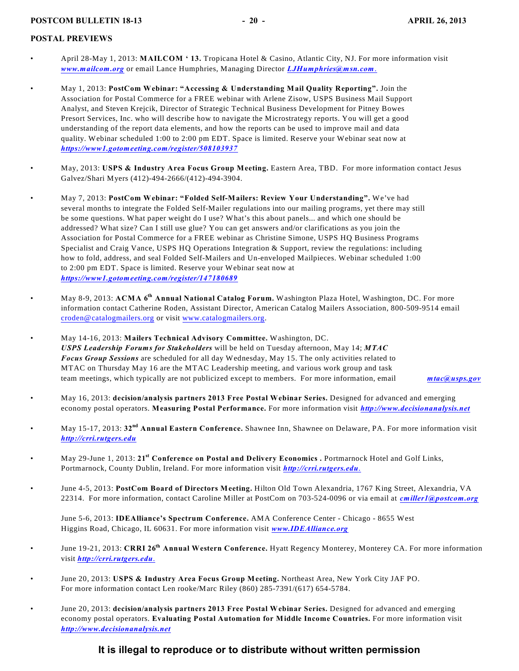#### <span id="page-20-0"></span>**POSTAL PREVIEWS**

- April 28-May 1, 2013: **MAILCOM ' 13.** Tropicana Hotel & Casino, Atlantic City, NJ. For more information visit *[www.mailcom.org](http://www.mailcom.org)* or email Lance Humphries, Managing Director *[LJHumphries@msn.com](mailto:LJHumphries@msn.com.)*.
- May 1, 2013: **PostCom Webinar: "Accessing & Understanding Mail Quality Reporting".** Join the Association for Postal Commerce for a FREE webinar with Arlene Zisow, USPS Business Mail Support Analyst, and Steven Krejcik, Director of Strategic Technical Business Development for Pitney Bowes Presort Services, Inc. who will describe how to navigate the Microstrategy reports. You will get a good understanding of the report data elements, and how the reports can be used to improve mail and data quality. Webinar scheduled 1:00 to 2:00 pm EDT. Space is limited. Reserve your Webinar seat now at *<https://www1.gotomeeting.com/register/508103937>*
- May, 2013: **USPS & Industry Area Focus Group Meeting.** Eastern Area, TBD. For more information contact Jesus Galvez/Shari Myers (412)-494-2666/(412)-494-3904.
- May 7, 2013: **PostCom Webinar: "Folded Self-Mailers: Review Your Understanding".** We've had several months to integrate the Folded Self-Mailer regulations into our mailing programs, yet there may still be some questions. What paper weight do I use? What's this about panels... and which one should be addressed? What size? Can I still use glue? You can get answers and/or clarifications as you join the Association for Postal Commerce for a FREE webinar as Christine Simone, USPS HQ Business Programs Specialist and Craig Vance, USPS HQ Operations Integration & Support, review the regulations: including how to fold, address, and seal Folded Self-Mailers and Un-enveloped Mailpieces. Webinar scheduled 1:00 to 2:00 pm EDT. Space is limited. Reserve your Webinar seat now at *<https://www1.gotomeeting.com/register/147180689>*
- May 8-9, 2013: ACMA 6<sup>th</sup> Annual National Catalog Forum. Washington Plaza Hotel, Washington, DC. For more information contact Catherine Roden, Assistant Director, American Catalog Mailers Association, 800-509-9514 email [croden@catalogmailers.org](mailto:croden@catalogmailers.org) or visit [www.catalogmailers.org](http://www.catalogmailers.org.).
- May 14-16, 2013: **Mailers Technical Advisory Committee.** Washington, DC. *USPS Leadership Forums for Stakeholders* will be held on Tuesday afternoon, May 14; *MTAC Focus Group Sessions* are scheduled for all day Wednesday, May 15. The only activities related to MTAC on Thursday May 16 are the MTAC Leadership meeting, and various work group and task team meetings, which typically are not publicized except to members. For more information, email *[mtac@usps.gov](mailto:mtac@usps.gov)*

- May 16, 2013: **decision/analysis partners 2013 Free Postal Webinar Series.** Designed for advanced and emerging economy postal operators. **Measuring Postal Performance.** For more information visit *[http://www.decisionanalysis.net](http://www.decisionanalysis.net.)*
- May 15-17, 2013: 32<sup>nd</sup> Annual Eastern Conference. Shawnee Inn, Shawnee on Delaware, PA. For more information visit *[http://crri.rutgers.edu](http://crrirutgers.edu.)*
- May 29-June 1, 2013: 21<sup>st</sup> Conference on Postal and Delivery Economics . Portmarnock Hotel and Golf Links, Portmarnock, County Dublin, Ireland. For more information visit *[http://crri.rutgers.edu](http://crri.rutgers.edu.)*.
- June 4-5, 2013: **PostCom Board of Directors Meeting.** Hilton Old Town Alexandria, 1767 King Street, Alexandria, VA 22314. For more information, contact Caroline Miller at PostCom on 703-524-0096 or via email at *[cmiller1@postcom.org](mailto:cmiller1@postcom.org)*

June 5-6, 2013: **IDEAlliance's Spectrum Conference.** AMA Conference Center - Chicago - 8655 West Higgins Road, Chicago, IL 60631. For more information visit *[www.IDEAlliance.org](http://www.IDEAlliance.org)*

- June 19-21, 2013: **CRRI 26 Annual Western Conference.** Hyatt Regency Monterey, Monterey CA. For more information **th** visit *[http://crri.rutgers.edu](http://crri.rutgers.edu.)*.
- June 20, 2013: **USPS & Industry Area Focus Group Meeting.** Northeast Area, New York City JAF PO. For more information contact Len rooke/Marc Riley (860) 285-7391/(617) 654-5784.
- June 20, 2013: **decision/analysis partners 2013 Free Postal Webinar Series.** Designed for advanced and emerging economy postal operators. **Evaluating Postal Automation for Middle Income Countries.** For more information visit *[http://www.decisionanalysis.net](http://www.decisionanalysis.net.)*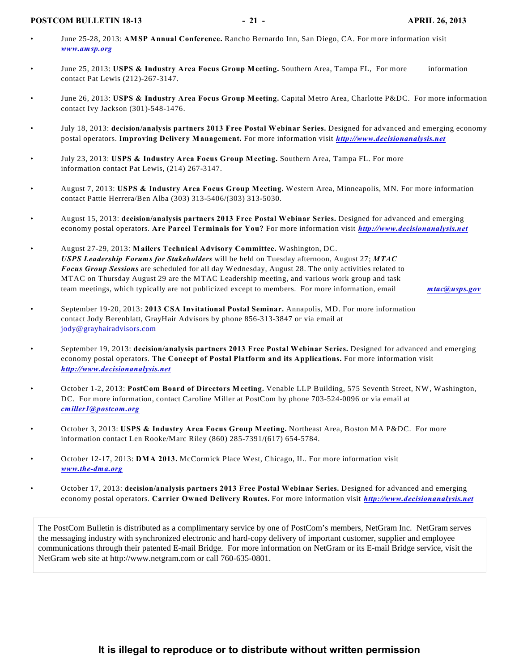#### **POSTCOM BULLETIN 18-13** - 21 - APRIL 26, 2013

- June 25-28, 2013: **AMSP Annual Conference.** Rancho Bernardo Inn, San Diego, CA. For more information visit *[www.amsp.org](http://www.amsp.org)*
- June 25, 2013: **USPS & Industry Area Focus Group Meeting.** Southern Area, Tampa FL, For more information contact Pat Lewis (212)-267-3147.
- June 26, 2013: **USPS & Industry Area Focus Group Meeting.** Capital Metro Area, Charlotte P&DC. For more information contact Ivy Jackson (301)-548-1476.
- July 18, 2013: **decision/analysis partners 2013 Free Postal Webinar Series.** Designed for advanced and emerging economy postal operators. **Improving Delivery Management.** For more information visit *[http://www.decisionanalysis.net](http://www.decisionanalysis.net.)*
- July 23, 2013: **USPS & Industry Area Focus Group Meeting.** Southern Area, Tampa FL. For more information contact Pat Lewis, (214) 267-3147.
- August 7, 2013: **USPS & Industry Area Focus Group Meeting.** Western Area, Minneapolis, MN. For more information contact Pattie Herrera/Ben Alba (303) 313-5406/(303) 313-5030.
- August 15, 2013: **decision/analysis partners 2013 Free Postal Webinar Series.** Designed for advanced and emerging economy postal operators. **Are Parcel Terminals for You?** For more information visit *[http://www.decisionanalysis.net](http://www.decisionanalysis.net.)*
- August 27-29, 2013: **Mailers Technical Advisory Committee.** Washington, DC. *USPS Leadership Forums for Stakeholders* will be held on Tuesday afternoon, August 27; *MTAC Focus Group Sessions* are scheduled for all day Wednesday, August 28. The only activities related to MTAC on Thursday August 29 are the MTAC Leadership meeting, and various work group and task team meetings, which typically are not publicized except to members. For more information, email *[mtac@usps.gov](mailto:mtac@usps.gov)*

- September 19-20, 2013: **2013 CSA Invitational Postal Seminar.** Annapolis, MD. For more information contact Jody Berenblatt, GrayHair Advisors by phone 856-313-3847 or via email at [jody@grayhairadvisors.com](mailto:jody@grayhairadvisors.com)
- September 19, 2013: **decision/analysis partners 2013 Free Postal Webinar Series.** Designed for advanced and emerging economy postal operators. **The Concept of Postal Platform and its Applications.** For more information visit *[http://www.decisionanalysis.net](http://www.decisionanalysis.net.)*
- October 1-2, 2013: **PostCom Board of Directors Meeting.** Venable LLP Building, 575 Seventh Street, NW, Washington, DC. For more information, contact Caroline Miller at PostCom by phone 703-524-0096 or via email at *[cmiller1@postcom.org](mailto:cmiller1@postcom.org)*
- October 3, 2013: **USPS & Industry Area Focus Group Meeting.** Northeast Area, Boston MA P&DC. For more information contact Len Rooke/Marc Riley (860) 285-7391/(617) 654-5784.
- October 12-17, 2013: **DMA 2013.** McCormick Place West, Chicago, IL. For more information visit *[www.the-dma.org](http://www.the-dma.org)*
- October 17, 2013: **decision/analysis partners 2013 Free Postal Webinar Series.** Designed for advanced and emerging economy postal operators. **Carrier Owned Delivery Routes.** For more information visit *[http://www.decisionanalysis.net](http://www.decisionanalysis.net.)*

The PostCom Bulletin is distributed as a complimentary service by one of PostCom's members, NetGram Inc. NetGram serves the messaging industry with synchronized electronic and hard-copy delivery of important customer, supplier and employee communications through their patented E-mail Bridge. For more information on NetGram or its E-mail Bridge service, visit the NetGram web site at http://www.netgram.com or call 760-635-0801.